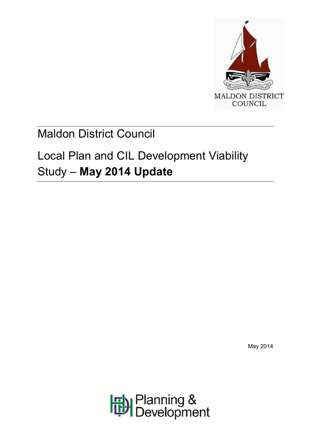

# Maldon District Council

# Local Plan and CIL Development Viability Study – **May 2014 Update**

May 2014

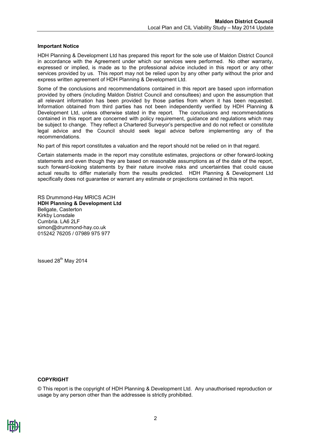#### **Important Notice**

HDH Planning & Development Ltd has prepared this report for the sole use of Maldon District Council in accordance with the Agreement under which our services were performed. No other warranty, expressed or implied, is made as to the professional advice included in this report or any other services provided by us. This report may not be relied upon by any other party without the prior and express written agreement of HDH Planning & Development Ltd.

Some of the conclusions and recommendations contained in this report are based upon information provided by others (including Maldon District Council and consultees) and upon the assumption that all relevant information has been provided by those parties from whom it has been requested. Information obtained from third parties has not been independently verified by HDH Planning & Development Ltd, unless otherwise stated in the report. The conclusions and recommendations contained in this report are concerned with policy requirement, guidance and regulations which may be subject to change. They reflect a Chartered Surveyor's perspective and do not reflect or constitute legal advice and the Council should seek legal advice before implementing any of the recommendations.

No part of this report constitutes a valuation and the report should not be relied on in that regard.

Certain statements made in the report may constitute estimates, projections or other forward-looking statements and even though they are based on reasonable assumptions as of the date of the report, such forward-looking statements by their nature involve risks and uncertainties that could cause actual results to differ materially from the results predicted. HDH Planning & Development Ltd specifically does not guarantee or warrant any estimate or projections contained in this report.

RS Drummond-Hay MRICS ACIH **HDH Planning & Development Ltd** Bellgate, Casterton Kirkby Lonsdale Cumbria. LA6 2LF simon@drummond-hay.co.uk 015242 76205 / 07989 975 977

Issued 28<sup>th</sup> May 2014

#### **COPYRIGHT**

© This report is the copyright of HDH Planning & Development Ltd. Any unauthorised reproduction or usage by any person other than the addressee is strictly prohibited.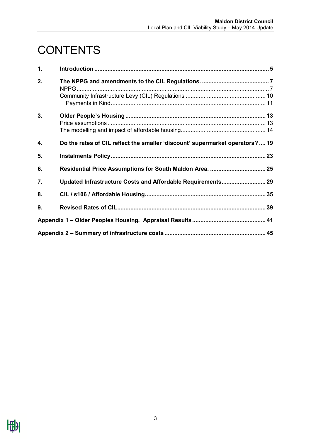# **CONTENTS**

| 1. |                                                                               |  |
|----|-------------------------------------------------------------------------------|--|
| 2. |                                                                               |  |
|    |                                                                               |  |
| 3. |                                                                               |  |
| 4. | Do the rates of CIL reflect the smaller 'discount' supermarket operators?  19 |  |
| 5. |                                                                               |  |
| 6. | Residential Price Assumptions for South Maldon Area.  25                      |  |
| 7. | Updated Infrastructure Costs and Affordable Requirements 29                   |  |
| 8. |                                                                               |  |
| 9. |                                                                               |  |
|    |                                                                               |  |
|    |                                                                               |  |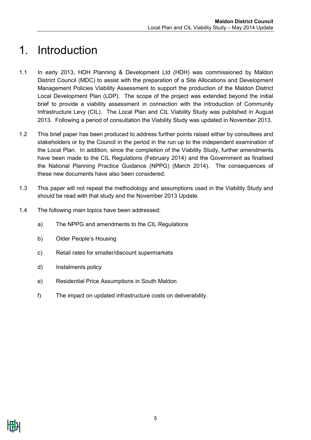### <span id="page-4-0"></span>1. Introduction

- 1.1 In early 2013, HDH Planning & Development Ltd (HDH) was commissioned by Maldon District Council (MDC) to assist with the preparation of a Site Allocations and Development Management Policies Viability Assessment to support the production of the Maldon District Local Development Plan (LDP). The scope of the project was extended beyond the initial brief to provide a viability assessment in connection with the introduction of Community Infrastructure Levy (CIL). The Local Plan and CIL Viability Study was published in August 2013. Following a period of consultation the Viability Study was updated in November 2013.
- 1.2 This brief paper has been produced to address further points raised either by consultees and stakeholders or by the Council in the period in the run up to the independent examination of the Local Plan. In addition, since the completion of the Viability Study, further amendments have been made to the CIL Regulations (February 2014) and the Government as finalised the National Planning Practice Guidance (NPPG) (March 2014). The consequences of these new documents have also been considered.
- 1.3 This paper will not repeat the methodology and assumptions used in the Viability Study and should be read with that study and the November 2013 Update.
- 1.4 The following main topics have been addressed:
	- a) The NPPG and amendments to the CIL Regulations
	- b) Older People's Housing
	- c) Retail rates for smaller/discount supermarkets
	- d) Instalments policy
	- e) Residential Price Assumptions in South Maldon
	- f) The impact on updated infrastructure costs on deliverability.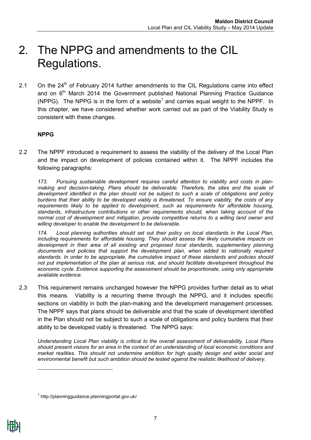### <span id="page-6-0"></span>2. The NPPG and amendments to the CIL Regulations.

2.1 On the  $24<sup>th</sup>$  of February 2014 further amendments to the CIL Regulations came into effect and on  $6<sup>th</sup>$  March 2014 the Government published National Planning Practice Guidance (NPPG). The NPPG is in the form of a website<sup>1</sup> and carries equal weight to the NPPF. In this chapter, we have considered whether work carried out as part of the Viability Study is consistent with these changes.

### <span id="page-6-1"></span>**NPPG**

2.2 The NPPF introduced a requirement to assess the viability of the delivery of the Local Plan and the impact on development of policies contained within it. The NPPF includes the following paragraphs:

*173. Pursuing sustainable development requires careful attention to viability and costs in planmaking and decision-taking. Plans should be deliverable. Therefore, the sites and the scale of development identified in the plan should not be subject to such a scale of obligations and policy burdens that their ability to be developed viably is threatened. To ensure viability, the costs of any requirements likely to be applied to development, such as requirements for affordable housing, standards, infrastructure contributions or other requirements should, when taking account of the normal cost of development and mitigation, provide competitive returns to a willing land owner and willing developer to enable the development to be deliverable.*

*174. Local planning authorities should set out their policy on local standards in the Local Plan, including requirements for affordable housing. They should assess the likely cumulative impacts on development in their area of all existing and proposed local standards, supplementary planning documents and policies that support the development plan, when added to nationally required standards. In order to be appropriate, the cumulative impact of these standards and policies should not put implementation of the plan at serious risk, and should facilitate development throughout the economic cycle. Evidence supporting the assessment should be proportionate, using only appropriate available evidence.*

2.3 This requirement remains unchanged however the NPPG provides further detail as to what this means. Viability is a recurring theme through the NPPG, and it includes specific sections on viability in both the plan-making and the development management processes. The NPPF says that plans should be deliverable and that the scale of development identified in the Plan should not be subject to such a scale of obligations and policy burdens that their ability to be developed viably is threatened. The NPPG says:

*Understanding Local Plan viability is critical to the overall assessment of deliverability. Local Plans should present visions for an area in the context of an understanding of local economic conditions and market realities. This should not undermine ambition for high quality design and wider social and environmental benefit but such ambition should be tested against the realistic likelihood of delivery.*

-

<sup>1</sup> http://planningguidance.planningportal.gov.uk/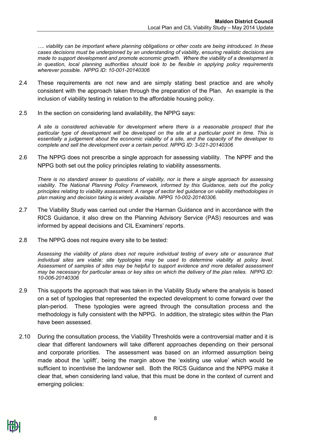*…. viability can be important where planning obligations or other costs are being introduced. In these cases decisions must be underpinned by an understanding of viability, ensuring realistic decisions are made to support development and promote economic growth. Where the viability of a development is in question, local planning authorities should look to be flexible in applying policy requirements wherever possible. NPPG ID: 10-001-20140306*

- 2.4 These requirements are not new and are simply stating best practice and are wholly consistent with the approach taken through the preparation of the Plan. An example is the inclusion of viability testing in relation to the affordable housing policy.
- 2.5 In the section on considering land availability, the NPPG says:

*A site is considered achievable for development where there is a reasonable prospect that the particular type of development will be developed on the site at a particular point in time. This is essentially a judgement about the economic [viability of a site,](http://planningguidance.planningportal.gov.uk/blog/guidance/viability-guidance/) and the capacity of the developer to complete and sell the development over a certain period. NPPG ID: 3-021-20140306*

2.6 The NPPG does not prescribe a single approach for assessing viability. The NPPF and the NPPG both set out the policy principles relating to viability assessments.

*There is no standard answer to questions of viability, nor is there a single approach for assessing viability. The National Planning Policy Framework, informed by this Guidance, sets out the policy principles relating to viability assessment. A range of sector led guidance on viability methodologies in plan making and decision taking is widely available. NPPG 10-002-20140306.* 

- 2.7 The Viability Study was carried out under the Harman Guidance and in accordance with the RICS Guidance, it also drew on the Planning Advisory Service (PAS) resources and was informed by appeal decisions and CIL Examiners' reports.
- 2.8 The NPPG does not require every site to be tested:

*Assessing the viability of plans does not require individual testing of every site or assurance that individual sites are viable; site typologies may be used to determine viability at policy level. Assessment of samples of sites may be helpful to support evidence and more detailed assessment may be necessary for particular areas or key sites on which the delivery of the plan relies. NPPG ID: 10-006-20140306*

- 2.9 This supports the approach that was taken in the Viability Study where the analysis is based on a set of typologies that represented the expected development to come forward over the plan-period. These typologies were agreed through the consultation process and the methodology is fully consistent with the NPPG. In addition, the strategic sites within the Plan have been assessed.
- 2.10 During the consultation process, the Viability Thresholds were a controversial matter and it is clear that different landowners will take different approaches depending on their personal and corporate priorities. The assessment was based on an informed assumption being made about the 'uplift', being the margin above the 'existing use value' which would be sufficient to incentivise the landowner sell. Both the RICS Guidance and the NPPG make it clear that, when considering land value, that this must be done in the context of current and emerging policies:

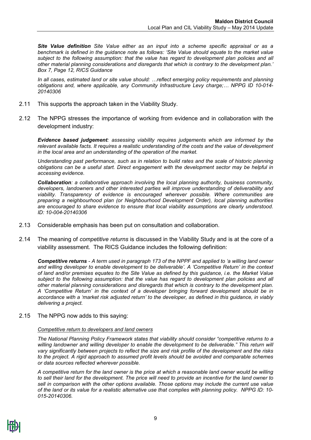*Site Value definition Site Value either as an input into a scheme specific appraisal or as a benchmark is defined in the guidance note as follows: 'Site Value should equate to the market value subject to the following assumption: that the value has regard to development plan policies and all other material planning considerations and disregards that which is contrary to the development plan.' Box 7, Page 12, RICS Guidance*

*In all cases, estimated land or site value should: …reflect emerging policy requirements and planning obligations and, where applicable, any Community Infrastructure Levy charge;… NPPG ID 10-014- 20140306*

- 2.11 This supports the approach taken in the Viability Study.
- 2.12 The NPPG stresses the importance of working from evidence and in collaboration with the development industry:

*Evidence based judgement: assessing viability requires judgements which are informed by the relevant available facts. It requires a realistic understanding of the costs and the value of development in the local area and an understanding of the operation of the market.*

*Understanding past performance, such as in relation to build rates and the scale of historic planning obligations can be a useful start. Direct engagement with the development sector may be helpful in accessing evidence.*

*Collaboration: a collaborative approach involving the local planning authority, business community, developers, landowners and other interested parties will improve understanding of deliverability and viability. Transparency of evidence is encouraged wherever possible. Where communities are preparing a [neighbourhood plan](http://planningguidance.planningportal.gov.uk/blog/guidance/neighbourhood-planning/) (or Neighbourhood Development Order), local planning authorities are encouraged to share evidence to ensure that local viability assumptions are clearly understood. ID: 10-004-20140306*

- 2.13 Considerable emphasis has been put on consultation and collaboration.
- 2.14 The meaning of *competitive returns* is discussed in the Viability Study and is at the core of a viability assessment. The RICS Guidance includes the following definition:

*Competitive returns - A term used in paragraph 173 of the NPPF and applied to 'a willing land owner and willing developer to enable development to be deliverable'. A 'Competitive Return' in the context of land and/or premises equates to the Site Value as defined by this guidance, i.e. the Market Value subject to the following assumption: that the value has regard to development plan policies and all other material planning considerations and disregards that which is contrary to the development plan. A 'Competitive Return' in the context of a developer bringing forward development should be in accordance with a 'market risk adjusted return' to the developer, as defined in this guidance, in viably delivering a project.*

2.15 The NPPG now adds to this saying:

#### *Competitive return to developers and land owners*

*The National Planning Policy Framework states that viability should consider "competitive returns to a*  willing landowner and willing developer to enable the development to be deliverable." This return will *vary significantly between projects to reflect the size and risk profile of the development and the risks to the project. A rigid approach to assumed profit levels should be avoided and comparable schemes or data sources reflected wherever possible.*

*A competitive return for the land owner is the price at which a reasonable land owner would be willing to sell their land for the development. The price will need to provide an incentive for the land owner to sell in comparison with the other options available. Those options may include the current use value of the land or its value for a realistic alternative use that complies with planning policy. NPPG ID: 10- 015-20140306.*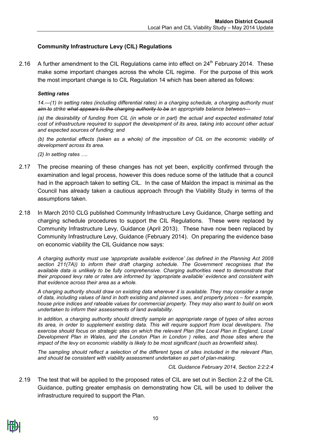### <span id="page-9-0"></span>**Community Infrastructure Levy (CIL) Regulations**

2.16 A further amendment to the CIL Regulations came into effect on  $24<sup>th</sup>$  February 2014. These make some important changes across the whole CIL regime. For the purpose of this work the most important change is to CIL Regulation 14 which has been altered as follows:

#### *Setting rates*

*14.—(1) In setting rates (including differential rates) in a charging schedule, a charging authority must aim to strike what appears to the charging authority to be an appropriate balance between—* 

*(a) the desirability of funding from CIL (in whole or in part) the actual and expected estimated total cost of infrastructure required to support the development of its area, taking into account other actual and expected sources of funding; and*

*(b) the potential effects (taken as a whole) of the imposition of CIL on the economic viability of development across its area.*

*(2) In setting rates ….*

- 2.17 The precise meaning of these changes has not yet been, explicitly confirmed through the examination and legal process, however this does reduce some of the latitude that a council had in the approach taken to setting CIL. In the case of Maldon the impact is minimal as the Council has already taken a cautious approach through the Viability Study in terms of the assumptions taken.
- 2.18 In March 2010 CLG published Community Infrastructure Levy Guidance, Charge setting and charging schedule procedures to support the CIL Regulations. These were replaced by Community Infrastructure Levy, Guidance (April 2013). These have now been replaced by Community Infrastructure Levy, Guidance (February 2014). On preparing the evidence base on economic viability the CIL Guidance now says:

*A charging authority must use 'appropriate available evidence' (as defined in the Planning Act 2008 section 211(7A)) to inform their draft charging schedule. The Government recognises that the available data is unlikely to be fully comprehensive. Charging authorities need to demonstrate that their proposed levy rate or rates are informed by 'appropriate available' evidence and consistent with that evidence across their area as a whole.* 

*A charging authority should draw on existing data wherever it is available. They may consider a range of data, including values of land in both existing and planned uses, and property prices – for example, house price indices and rateable values for commercial property. They may also want to build on work undertaken to inform their assessments of land availability.* 

*In addition, a charging authority should directly sample an appropriate range of types of sites across its area, in order to supplement existing data. This will require support from local developers. The exercise should focus on strategic sites on which the relevant Plan (the Local Plan in England, Local Development Plan in Wales, and the London Plan in London ) relies, and those sites where the impact of the levy on economic viability is likely to be most significant (such as brownfield sites).* 

*The sampling should reflect a selection of the different types of sites included in the relevant Plan, and should be consistent with viability assessment undertaken as part of plan-making.*

*CIL Guidance February 2014, Section 2:2:2:4* 

2.19 The test that will be applied to the proposed rates of CIL are set out in Section 2.2 of the CIL Guidance, putting greater emphasis on demonstrating how CIL will be used to deliver the infrastructure required to support the Plan.

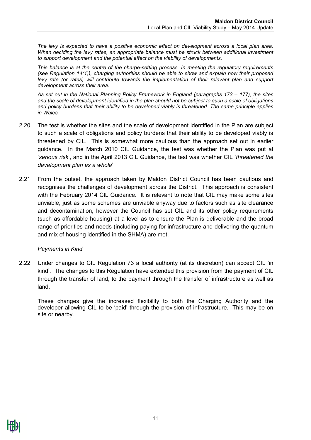*The levy is expected to have a positive economic effect on development across a local plan area. When deciding the levy rates, an appropriate balance must be struck between additional investment to support development and the potential effect on the viability of developments.* 

*This balance is at the centre of the charge-setting process. In meeting the regulatory requirements (see Regulation 14(1)), charging authorities should be able to show and explain how their proposed levy rate (or rates) will contribute towards the implementation of their relevant plan and support development across their area.*

*As set out in the National Planning Policy Framework in England (paragraphs 173 – 177), the sites and the scale of development identified in the plan should not be subject to such a scale of obligations and policy burdens that their ability to be developed viably is threatened. The same principle applies in Wales.*

- 2.20 The test is whether the sites and the scale of development identified in the Plan are subject to such a scale of obligations and policy burdens that their ability to be developed viably is threatened by CIL. This is somewhat more cautious than the approach set out in earlier guidance. In the March 2010 CIL Guidance, the test was whether the Plan was put at '*serious risk*', and in the April 2013 CIL Guidance, the test was whether CIL '*threatened the development plan as a whole*'.
- 2.21 From the outset, the approach taken by Maldon District Council has been cautious and recognises the challenges of development across the District. This approach is consistent with the February 2014 CIL Guidance. It is relevant to note that CIL may make some sites unviable, just as some schemes are unviable anyway due to factors such as site clearance and decontamination, however the Council has set CIL and its other policy requirements (such as affordable housing) at a level as to ensure the Plan is deliverable and the broad range of priorities and needs (including paying for infrastructure and delivering the quantum and mix of housing identified in the SHMA) are met.

#### <span id="page-10-0"></span>*Payments in Kind*

2.22 Under changes to CIL Regulation 73 a local authority (at its discretion) can accept CIL 'in kind'. The changes to this Regulation have extended this provision from the payment of CIL through the transfer of land, to the payment through the transfer of infrastructure as well as land.

These changes give the increased flexibility to both the Charging Authority and the developer allowing CIL to be 'paid' through the provision of infrastructure. This may be on site or nearby.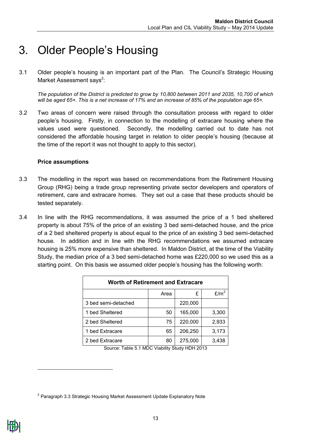### <span id="page-12-0"></span>3. Older People's Housing

3.1 Older people's housing is an important part of the Plan. The Council's Strategic Housing Market Assessment says<sup>2</sup>:

*The population of the District is predicted to grow by 10,800 between 2011 and 2035, 10,700 of which will be aged 65+. This is a net increase of 17% and an increase of 85% of the population age 65+.*

3.2 Two areas of concern were raised through the consultation process with regard to older people's housing. Firstly, in connection to the modelling of extracare housing where the values used were questioned. Secondly, the modelling carried out to date has not considered the affordable housing target in relation to older people's housing (because at the time of the report it was not thought to apply to this sector).

#### <span id="page-12-1"></span>**Price assumptions**

- 3.3 The modelling in the report was based on recommendations from the Retirement Housing Group (RHG) being a trade group representing private sector developers and operators of retirement, care and extracare homes. They set out a case that these products should be tested separately.
- 3.4 In line with the RHG recommendations, it was assumed the price of a 1 bed sheltered property is about 75% of the price of an existing 3 bed semi-detached house, and the price of a 2 bed sheltered property is about equal to the price of an existing 3 bed semi-detached house. In addition and in line with the RHG recommendations we assumed extracare housing is 25% more expensive than sheltered. In Maldon District, at the time of the Viability Study, the median price of a 3 bed semi-detached home was £220,000 so we used this as a starting point. On this basis we assumed older people's housing has the following worth:

| <b>Worth of Retirement and Extracare</b> |      |         |                  |  |  |  |  |  |  |  |  |
|------------------------------------------|------|---------|------------------|--|--|--|--|--|--|--|--|
|                                          | Area | £       | E/m <sup>2</sup> |  |  |  |  |  |  |  |  |
| 3 bed semi-detached                      |      | 220,000 |                  |  |  |  |  |  |  |  |  |
| 1 bed Sheltered                          | 50   | 165,000 | 3,300            |  |  |  |  |  |  |  |  |
| 2 bed Sheltered                          | 75   | 220,000 | 2,933            |  |  |  |  |  |  |  |  |
| 1 bed Extracare                          | 65   | 206,250 | 3,173            |  |  |  |  |  |  |  |  |
| 2 bed Extracare                          | 80   | 275,000 | 3,438            |  |  |  |  |  |  |  |  |

Source: Table 5.1 MDC Viability Study HDH 2013

-

 $2$  Paragraph 3.3 Strategic Housing Market Assessment Update Explanatory Note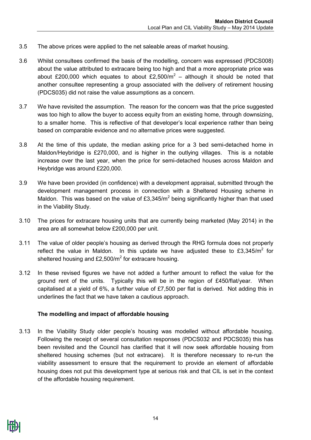- 3.5 The above prices were applied to the net saleable areas of market housing.
- 3.6 Whilst consultees confirmed the basis of the modelling, concern was expressed (PDCS008) about the value attributed to extracare being too high and that a more appropriate price was about £200,000 which equates to about £2,500/ $m^2$  – although it should be noted that another consultee representing a group associated with the delivery of retirement housing (PDCS035) did not raise the value assumptions as a concern.
- 3.7 We have revisited the assumption. The reason for the concern was that the price suggested was too high to allow the buyer to access equity from an existing home, through downsizing, to a smaller home. This is reflective of that developer's local experience rather than being based on comparable evidence and no alternative prices were suggested.
- 3.8 At the time of this update, the median asking price for a 3 bed semi-detached home in Maldon/Heybridge is £270,000, and is higher in the outlying villages. This is a notable increase over the last year, when the price for semi-detached houses across Maldon and Heybridge was around £220,000.
- 3.9 We have been provided (in confidence) with a development appraisal, submitted through the development management process in connection with a Sheltered Housing scheme in Maldon. This was based on the value of  $£3,345/m<sup>2</sup>$  being significantly higher than that used in the Viability Study.
- 3.10 The prices for extracare housing units that are currently being marketed (May 2014) in the area are all somewhat below £200,000 per unit.
- 3.11 The value of older people's housing as derived through the RHG formula does not properly reflect the value in Maldon. In this update we have adjusted these to  $\text{\pounds}3.345/m^2$  for sheltered housing and  $£2,500/m<sup>2</sup>$  for extracare housing.
- 3.12 In these revised figures we have not added a further amount to reflect the value for the ground rent of the units. Typically this will be in the region of £450/flat/year. When capitalised at a yield of 6%, a further value of £7,500 per flat is derived. Not adding this in underlines the fact that we have taken a cautious approach.

#### <span id="page-13-0"></span>**The modelling and impact of affordable housing**

3.13 In the Viability Study older people's housing was modelled without affordable housing. Following the receipt of several consultation responses (PDCS032 and PDCS035) this has been revisited and the Council has clarified that it will now seek affordable housing from sheltered housing schemes (but not extracare). It is therefore necessary to re-run the viability assessment to ensure that the requirement to provide an element of affordable housing does not put this development type at serious risk and that CIL is set in the context of the affordable housing requirement.

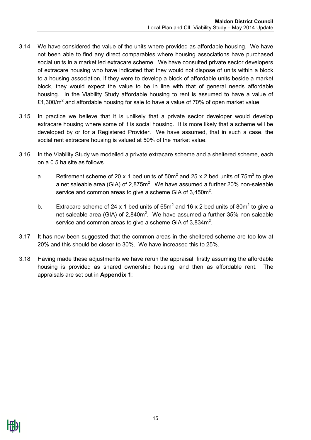- 3.14 We have considered the value of the units where provided as affordable housing. We have not been able to find any direct comparables where housing associations have purchased social units in a market led extracare scheme. We have consulted private sector developers of extracare housing who have indicated that they would not dispose of units within a block to a housing association, if they were to develop a block of affordable units beside a market block, they would expect the value to be in line with that of general needs affordable housing. In the Viability Study affordable housing to rent is assumed to have a value of £1,300/ $m^2$  and affordable housing for sale to have a value of 70% of open market value.
- 3.15 In practice we believe that it is unlikely that a private sector developer would develop extracare housing where some of it is social housing. It is more likely that a scheme will be developed by or for a Registered Provider. We have assumed, that in such a case, the social rent extracare housing is valued at 50% of the market value.
- 3.16 In the Viability Study we modelled a private extracare scheme and a sheltered scheme, each on a 0.5 ha site as follows.
	- a. Retirement scheme of 20 x 1 bed units of  $50m^2$  and 25 x 2 bed units of  $75m^2$  to give a net saleable area (GIA) of 2,875 $m^2$ . We have assumed a further 20% non-saleable service and common areas to give a scheme GIA of  $3,450m^2$ .
	- b. Extracare scheme of 24 x 1 bed units of  $65m^2$  and 16 x 2 bed units of 80m<sup>2</sup> to give a net saleable area (GIA) of 2,840m<sup>2</sup>. We have assumed a further 35% non-saleable service and common areas to give a scheme GIA of 3,834m<sup>2</sup>.
- 3.17 It has now been suggested that the common areas in the sheltered scheme are too low at 20% and this should be closer to 30%. We have increased this to 25%.
- 3.18 Having made these adjustments we have rerun the appraisal, firstly assuming the affordable housing is provided as shared ownership housing, and then as affordable rent. The appraisals are set out in **Appendix 1**: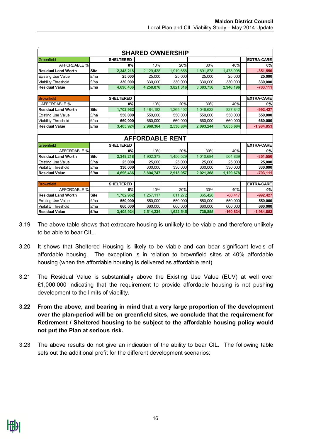|                            |             |                  | <b>SHARED OWNERSHIP</b> |           |           |            |                   |
|----------------------------|-------------|------------------|-------------------------|-----------|-----------|------------|-------------------|
| Greenfield                 |             | <b>SHELTERED</b> |                         |           |           |            | <b>EXTRA-CARE</b> |
| AFFORDABLE %               |             | 0%               | 10%                     | 20%       | 30%       | 40%        | 0%                |
| <b>Residual Land Worth</b> | <b>Site</b> | 2,348,218        | 2,129,438               | 1,910,658 | 1,691,878 | 1,473,098  | $-351,556$        |
| <b>Existing Use Value</b>  | £/ha        | 25,000           | 25,000                  | 25,000    | 25,000    | 25,000     | 25,000            |
| Viability Threshold        | £/ha        | 330,000          | 330,000                 | 330,000   | 330,000   | 330,000    | 330,000           |
| <b>Residual Value</b>      | £/ha        | 4,696,436        | 4,258,876               | 3,821,316 | 3,383,756 | 2,946,196  | $-703, 111$       |
|                            |             |                  |                         |           |           |            |                   |
| Brownfield                 |             | <b>SHELTERED</b> |                         |           |           |            | <b>EXTRA-CARE</b> |
| <b>AFFORDABLE %</b>        |             | <b>0%</b>        | 10%                     | 20%       | 30%       | 40%        | 0%                |
| <b>Residual Land Worth</b> | <b>Site</b> | 1,702,962        | 1,484,182               | 1,265,402 | 1,046,622 | 827,842    | $-992,427$        |
| <b>Existing Use Value</b>  | £/ha        | 550,000          | 550.000                 | 550,000   | 550,000   | 550,000    | 550,000           |
| <b>Viability Threshold</b> | £/ha        | 660,000          | 660,000                 | 660,000   | 660,000   | 660,000    | 660,000           |
| <b>Residual Value</b>      | £/ha        | 3,405,924        | 2,968,364               | 2,530,804 | 2,093,244 | 1,655,684  | $-1,984,853$      |
|                            |             |                  |                         |           |           |            |                   |
|                            |             |                  | <b>AFFORDABLE RENT</b>  |           |           |            |                   |
| Greenfield                 |             | <b>SHELTERED</b> |                         |           |           |            | <b>EXTRA-CARE</b> |
| <b>AFFORDABLE %</b>        |             | 0%               | 10%                     | 20%       | 30%       | 40%        | 0%                |
| <b>Residual Land Worth</b> | <b>Site</b> | 2,348,218        | 1.902.373               | 1,456,529 | 1,010,684 | 564,839    | $-351,556$        |
| <b>Existing Use Value</b>  | £/ha        | 25,000           | 25,000                  | 25,000    | 25,000    | 25,000     | 25,000            |
| Viability Threshold        | £/ha        | 330,000          | 330,000                 | 330,000   | 330,000   | 330,000    | 330,000           |
| <b>Residual Value</b>      | £/ha        | 4,696,436        | 3,804,747               | 2,913,057 | 2,021,368 | 1,129,678  | $-703, 111$       |
|                            |             |                  |                         |           |           |            |                   |
| <b>Brownfield</b>          |             | <b>SHELTERED</b> |                         |           |           |            | <b>EXTRA-CARE</b> |
| AFFORDABLE %               |             | 0%               | 10%                     | 20%       | 30%       | 40%        | 0%                |
| <b>Residual Land Worth</b> | <b>Site</b> | 1,702,962        | 1,257,117               | 811,272   | 365,428   | $-80,417$  | $-992,427$        |
| <b>Existing Use Value</b>  | £/ha        | 550,000          | 550,000                 | 550,000   | 550,000   | 550,000    | 550,000           |
| <b>Viability Threshold</b> | £/ha        | 660,000          | 660,000                 | 660,000   | 660,000   | 660,000    | 660,000           |
| <b>Residual Value</b>      | £/ha        | 3,405,924        | 2,514,234               | 1,622,545 | 730,855   | $-160,834$ | $-1,984,853$      |

- 3.19 The above table shows that extracare housing is unlikely to be viable and therefore unlikely to be able to bear CIL.
- 3.20 It shows that Sheltered Housing is likely to be viable and can bear significant levels of affordable housing. The exception is in relation to brownfield sites at 40% affordable housing (when the affordable housing is delivered as affordable rent).
- 3.21 The Residual Value is substantially above the Existing Use Value (EUV) at well over £1,000,000 indicating that the requirement to provide affordable housing is not pushing development to the limits of viability.
- **3.22 From the above, and bearing in mind that a very large proportion of the development over the plan-period will be on greenfield sites, we conclude that the requirement for Retirement / Sheltered housing to be subject to the affordable housing policy would not put the Plan at serious risk.**
- 3.23 The above results do not give an indication of the ability to bear CIL. The following table sets out the additional profit for the different development scenarios: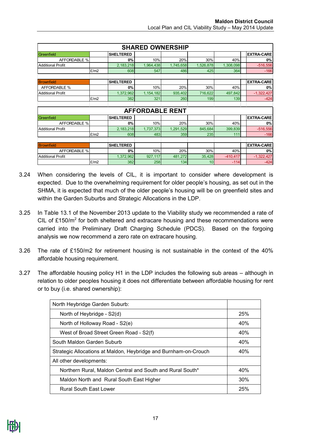|                          | <b>SHARED OWNERSHIP</b> |                  |                        |           |           |            |  |                   |  |  |  |  |
|--------------------------|-------------------------|------------------|------------------------|-----------|-----------|------------|--|-------------------|--|--|--|--|
| Greenfield               |                         | <b>SHELTERED</b> |                        |           |           |            |  | <b>EXTRA-CARE</b> |  |  |  |  |
| <b>AFFORDABLE %</b>      |                         | 0%               | 10%                    | 20%       | 30%       | 40%        |  | 0%                |  |  |  |  |
| <b>Additional Profit</b> |                         | 2,183,218        | 1,964,438              | 1,745,658 | 1,526,878 | 1,308,098  |  | $-516,556$        |  |  |  |  |
|                          | E/m2                    | 608              | 547                    | 486       | 425       | 364        |  | $-166$            |  |  |  |  |
|                          |                         |                  |                        |           |           |            |  |                   |  |  |  |  |
| <b>Brownfield</b>        |                         | <b>SHELTERED</b> |                        |           |           |            |  | <b>EXTRA-CARE</b> |  |  |  |  |
| AFFORDABLE %             |                         | 0%               | 10%                    | 20%       | 30%       | 40%        |  | 0%                |  |  |  |  |
| <b>Additional Profit</b> |                         | 1,372,962        | 1, 154, 182            | 935,402   | 716,622   | 497,842    |  | $-1,322,427$      |  |  |  |  |
|                          | E/m2                    | 382              | 321                    | 260       | 199       | 139        |  | $-424$            |  |  |  |  |
|                          |                         |                  |                        |           |           |            |  |                   |  |  |  |  |
|                          |                         |                  | <b>AFFORDABLE RENT</b> |           |           |            |  |                   |  |  |  |  |
| <b>Greenfield</b>        |                         | <b>SHELTERED</b> |                        |           |           |            |  | <b>EXTRA-CARE</b> |  |  |  |  |
| <b>AFFORDABLE %</b>      |                         | 0%               | 10%                    | 20%       | 30%       | 40%        |  | 0%                |  |  |  |  |
| <b>Additional Profit</b> |                         | 2,183,218        | 1,737,373              | 1,291,529 | 845,684   | 399,839    |  | $-516,556$        |  |  |  |  |
|                          | E/m2                    | 608              | 483                    | 359       | 235       | 111        |  | $-166$            |  |  |  |  |
|                          |                         |                  |                        |           |           |            |  |                   |  |  |  |  |
| <b>Brownfield</b>        |                         | <b>SHELTERED</b> |                        |           |           |            |  | <b>EXTRA-CARE</b> |  |  |  |  |
| <b>AFFORDABLE %</b>      |                         | 0%               | 10%                    | 20%       | 30%       | 40%        |  | 0%                |  |  |  |  |
| <b>Additional Profit</b> |                         | 1,372,962        | 927,117                | 481,272   | 35,428    | $-410,417$ |  | $-1,322,427$      |  |  |  |  |
|                          | E/m2                    | 382              | 258                    | 134       | 10        | $-114$     |  | $-424$            |  |  |  |  |

- 3.24 When considering the levels of CIL, it is important to consider where development is expected. Due to the overwhelming requirement for older people's housing, as set out in the SHMA, it is expected that much of the older people's housing will be on greenfield sites and within the Garden Suburbs and Strategic Allocations in the LDP.
- 3.25 In Table 13.1 of the November 2013 update to the Viability study we recommended a rate of CIL of  $£150/m<sup>2</sup>$  for both sheltered and extracare housing and these recommendations were carried into the Preliminary Draft Charging Schedule (PDCS). Based on the forgoing analysis we now recommend a zero rate on extracare housing.
- 3.26 The rate of £150/m2 for retirement housing is not sustainable in the context of the 40% affordable housing requirement.
- 3.27 The affordable housing policy H1 in the LDP includes the following sub areas although in relation to older peoples housing it does not differentiate between affordable housing for rent or to buy (i.e. shared ownership):

| North Heybridge Garden Suburb:                                   |     |
|------------------------------------------------------------------|-----|
| North of Heybridge - S2(d)                                       | 25% |
| North of Holloway Road - S2(e)                                   | 40% |
| West of Broad Street Green Road - S2(f)                          | 40% |
| South Maldon Garden Suburb                                       | 40% |
| Strategic Allocations at Maldon, Heybridge and Burnham-on-Crouch | 40% |
| All other developments:                                          |     |
| Northern Rural, Maldon Central and South and Rural South*        | 40% |
| Maldon North and Rural South East Higher                         | 30% |
| <b>Rural South East Lower</b>                                    | 25% |

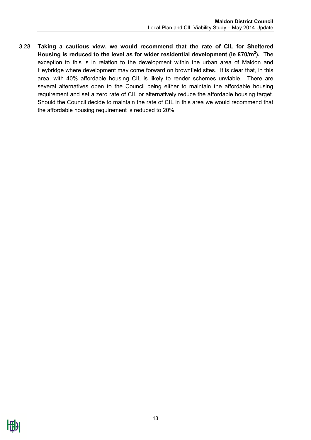3.28 **Taking a cautious view, we would recommend that the rate of CIL for Sheltered Housing is reduced to the level as for wider residential development (ie £70/m<sup>2</sup> ).** The exception to this is in relation to the development within the urban area of Maldon and Heybridge where development may come forward on brownfield sites. It is clear that, in this area, with 40% affordable housing CIL is likely to render schemes unviable. There are several alternatives open to the Council being either to maintain the affordable housing requirement and set a zero rate of CIL or alternatively reduce the affordable housing target. Should the Council decide to maintain the rate of CIL in this area we would recommend that the affordable housing requirement is reduced to 20%.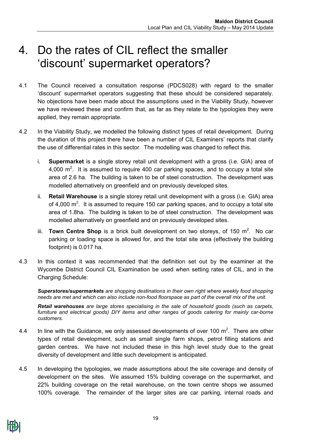### <span id="page-18-0"></span>4. Do the rates of CIL reflect the smaller 'discount' supermarket operators?

- 4.1 The Council received a consultation response (PDCS028) with regard to the smaller 'discount' supermarket operators suggesting that these should be considered separately. No objections have been made about the assumptions used in the Viability Study, however we have reviewed these and confirm that, as far as they relate to the typologies they were applied, they remain appropriate.
- 4.2 In the Viability Study, we modelled the following distinct types of retail development. During the duration of this project there have been a number of CIL Examiners' reports that clarify the use of differential rates in this sector. The modelling was changed to reflect this.
	- i. **Supermarket** is a single storey retail unit development with a gross (i.e. GIA) area of 4,000  $\text{m}^2$ . It is assumed to require 400 car parking spaces, and to occupy a total site area of 2.6 ha. The building is taken to be of steel construction. The development was modelled alternatively on greenfield and on previously developed sites.
	- ii. **Retail Warehouse** is a single storey retail unit development with a gross (i.e. GIA) area of 4,000  $m^2$ . It is assumed to require 150 car parking spaces, and to occupy a total site area of 1.8ha. The building is taken to be of steel construction. The development was modelled alternatively on greenfield and on previously developed sites.
	- iii. **Town Centre Shop** is a brick built development on two storeys, of 150  $m^2$ . No car parking or loading space is allowed for, and the total site area (effectively the building footprint) is 0.017 ha.
- 4.3 In this context it was recommended that the definition set out by the examiner at the Wycombe District Council CIL Examination be used when setting rates of CIL, and in the Charging Schedule:

*Superstores/supermarkets are shopping destinations in their own right where weekly food shopping needs are met and which can also include non-food floorspace as part of the overall mix of the unit.*

*Retail warehouses are large stores specialising in the sale of household goods (such as carpets, furniture and electrical goods) DIY items and other ranges of goods catering for mainly car-borne customers.*

- 4.4 In line with the Guidance, we only assessed developments of over 100 m<sup>2</sup>. There are other types of retail development, such as small single farm shops, petrol filling stations and garden centres. We have not included these in this high level study due to the great diversity of development and little such development is anticipated.
- 4.5 In developing the typologies, we made assumptions about the site coverage and density of development on the sites. We assumed 15% building coverage on the supermarket, and 22% building coverage on the retail warehouse, on the town centre shops we assumed 100% coverage. The remainder of the larger sites are car parking, internal roads and

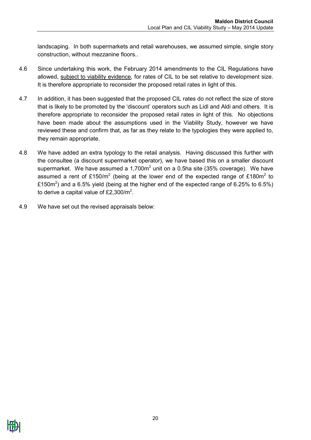landscaping. In both supermarkets and retail warehouses, we assumed simple, single story construction, without mezzanine floors..

- 4.6 Since undertaking this work, the February 2014 amendments to the CIL Regulations have allowed, subject to viability evidence, for rates of CIL to be set relative to development size. It is therefore appropriate to reconsider the proposed retail rates in light of this.
- 4.7 In addition, it has been suggested that the proposed CIL rates do not reflect the size of store that is likely to be promoted by the 'discount' operators such as Lidl and Aldi and others. It is therefore appropriate to reconsider the proposed retail rates in light of this. No objections have been made about the assumptions used in the Viability Study, however we have reviewed these and confirm that, as far as they relate to the typologies they were applied to, they remain appropriate.
- 4.8 We have added an extra typology to the retail analysis. Having discussed this further with the consultee (a discount supermarket operator), we have based this on a smaller discount supermarket. We have assumed a  $1,700m^2$  unit on a 0.5ha site (35% coverage). We have assumed a rent of £150/m<sup>2</sup> (being at the lower end of the expected range of £180m<sup>2</sup> to £150m<sup>2</sup>) and a 6.5% yield (being at the higher end of the expected range of 6.25% to 6.5%) to derive a capital value of £2,300/ $m^2$ .
- 4.9 We have set out the revised appraisals below: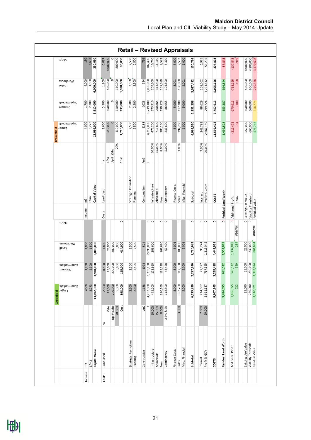|            | sdous                                           |                 |       |               |           |           |                     |         |             |                     |                    | <b>Retail - Revised Appraisals</b> |                         |                 |           |                 |             |               |         |                 |           |          |                 |            |                     |                   |        |                    |                     |                |
|------------|-------------------------------------------------|-----------------|-------|---------------|-----------|-----------|---------------------|---------|-------------|---------------------|--------------------|------------------------------------|-------------------------|-----------------|-----------|-----------------|-------------|---------------|---------|-----------------|-----------|----------|-----------------|------------|---------------------|-------------------|--------|--------------------|---------------------|----------------|
|            |                                                 | 150             | 1,667 | 250,050       | 0.017     | 4,000,000 |                     | 800,000 | 80,000      |                     | 2,500<br>2,500     | 716                                | 107,400                 | 10,740          | 16,110    | 8,592           | 5,370       | 5,000         | 7,502   | 5,000           | 170,714   |          | 5,975<br>51,205 | 307,893    | $-57,843$           | $-137,843$        | $-919$ | 4,000,000          | 4,800,000           | $-3,470,608$   |
|            | Warehouse<br>Retail                             | 4,000           | 1,500 | 6,000,000     | 1.800     | 550,000   | $\circ$             | 110,000 | 1,188,000   |                     | $2,500$<br>$2,500$ | 524                                | 2,096,000               | 209,600         | 314,400   | 167,680         | 104,800     | 5,001         | 180,000 | 5,001           | 3,087,482 | 108,062  | 1,221,612       | 5,605,156  | 394,844             | $-793,156$        | $-198$ | 550,000            | 660,000             | 219,358        |
|            | Supermarkets<br>Discount                        | 1,700           | 2,300 | 3,910,000     | 0.500     | 550,000   | $\circ$             | 110,000 | 330,000     | 2,500               | 2,500              | 1023                               | 1,739,100               | 173,910         | 260,865   | 139,128         | 86,955      | 5,000         | 117,300 | 5,000           | 2,532,258 | 88,629   | 799,726         | 3,750,613  | 159,387             | $-170,613$        | $-100$ | 550,000            | 660,000             | 318,774        |
|            | Supermarkets<br><b>Brownfield</b><br>Brownfield | 4,000           | 3,273 | 13,092,000    | 2.600     | 550,000   | $\circ$             | 110,000 | 1,716,000   | 2,500               | 2,500              | 1188                               | 4,752,000               | 475,200         | 712,800   | 380,160         | 237,600     | 5,000         | 392,760 | 5,000           | 6,965,520 | 243,793  | 2,667,159       | 11,592,472 | 1,499,528           | $-216,472$        | $-54$  | 550,000            | 660,000             | 576,742        |
|            |                                                 |                 |       |               | £,        | £/ha      | Uplift £/ha         | 20%     | <b>Cost</b> |                     |                    | /m2                                | $\overline{\mathbf{u}}$ | 10.00%          | 15.00%    | 8.00%<br>5.00%  |             |               | 3.00%   |                 |           | 7.00%    | 20.00%          |            |                     |                   |        |                    |                     |                |
|            |                                                 | $\widetilde{E}$ | E/m2  | Capital Value | Land Used |           |                     |         |             | Strategic Promotion | Planning           | Construction                       |                         | nfrastructure   | Abnormals | Fees            | Contingency | Finance Costs | Sales   | Misc. Financial | Subtotal  | Interest | Profit % Costs  | COSTS      |                     |                   | E/m2   |                    |                     |                |
|            |                                                 | Income          |       |               | Costs     |           |                     |         |             |                     |                    |                                    |                         |                 |           |                 |             |               |         |                 |           |          |                 |            | Residual Land Worth | Additional Profit |        | Existing Use Value | Viability Threshold | Residual Value |
|            | sdous                                           |                 |       |               |           |           |                     |         | $\circ$     |                     |                    |                                    |                         | $\circ$ $\circ$ |           | $\circ$ $\circ$ |             |               | $\circ$ |                 | ۰         |          | $\circ$ $\circ$ | ۰          | $\bullet$           | $\circ$           | #DIV/0 |                    | $\circ$ $\circ$     | #DIV/0!        |
|            | Warehouse<br>Retail                             | 4,000           | 1,500 | 6,000,000     | $1.800\,$ |           | 25,000<br>200,000   | 5,000   | 414,000     | 2,500               | 2,500              | 524                                | 2,096,000               | 209,600         |           | 167,680         | 52,400      | 5,001         | 180,000 | 5,001           | 2,720,682 | 95,224   | 1,219,045       | 4,448,951  | 1,551,049           | 1,137,049         | 284    | 25,000             | 230,000             | 861,694        |
|            | Supermarkets<br>Discount                        | 1,700           | 2,300 | 3,910,000     | 0.500     |           | 25,000<br>200,000   | 5,000   | 115,000     | 2,500               | 2,500              | 1023                               | 1,739,100               | 173,910         |           | 139,128         | 43,478      | 5,000         | 117,300 | 5,000           | 2,227,916 | 77,977   | 797,595         | 3,218,488  | 691,512             | 576,512           | 339    | 25,000             | 230,000             | 1,383,024      |
| Greenfield | Supermarkets<br>Larger                          | 4000            | 3,273 | 13,092,000    | 2.600     | 25,000    | 200,000             | 5,000   | 598,000     | 2,500               | 2,500              | 1188                               | 4,752,000               | 475,200         |           | 380,160         | 118,800     | 5,000         | 392,760 | 5,000           | 6,133,920 | 214,687  | 2,661,337       | 9,607,945  | 3,484,055           | 2,886,055         | 722    | 25,000             | 230,000             | 1,340,021      |
|            |                                                 |                 |       |               | ۵q        |           | Uplift £/ha<br>£/ha | 20.00%  | Cost        |                     |                    | /m <sup>2</sup>                    | $\overline{u}$          | 10.00%          | 15.00%    | 8.00%           | 2.5% & 5%   |               | 3.00%   |                 |           | 7.00%    | 20.00%          |            |                     |                   |        |                    |                     |                |
|            |                                                 | $\tilde{m}$     | E/m2  | Capital Value | Land Used |           |                     |         |             | Strategic Promotion | Planning           | Construction                       |                         | Infrastructure  | Abnormals | Fees            | Contingency | Finance Costs | Sales   | Misc. Financial | Subtotal  | Interest | Profit % GDV    | COSTS      | Residual Land Worth | Additional Profit |        | Existing Use Value | Viability Threshold | Residual Value |
|            |                                                 | Income          |       |               | Costs     |           |                     |         |             |                     |                    |                                    |                         |                 |           |                 |             |               |         |                 |           |          |                 |            |                     |                   |        |                    |                     |                |

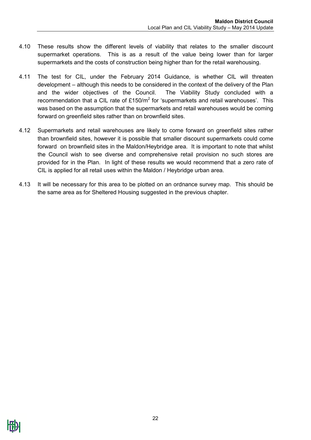- 4.10 These results show the different levels of viability that relates to the smaller discount supermarket operations. This is as a result of the value being lower than for larger supermarkets and the costs of construction being higher than for the retail warehousing.
- 4.11 The test for CIL, under the February 2014 Guidance, is whether CIL will threaten development – although this needs to be considered in the context of the delivery of the Plan and the wider objectives of the Council. The Viability Study concluded with a recommendation that a CIL rate of  $£150/m<sup>2</sup>$  for 'supermarkets and retail warehouses'. This was based on the assumption that the supermarkets and retail warehouses would be coming forward on greenfield sites rather than on brownfield sites.
- 4.12 Supermarkets and retail warehouses are likely to come forward on greenfield sites rather than brownfield sites, however it is possible that smaller discount supermarkets could come forward on brownfield sites in the Maldon/Heybridge area. It is important to note that whilst the Council wish to see diverse and comprehensive retail provision no such stores are provided for in the Plan. In light of these results we would recommend that a zero rate of CIL is applied for all retail uses within the Maldon / Heybridge urban area.
- 4.13 It will be necessary for this area to be plotted on an ordnance survey map. This should be the same area as for Sheltered Housing suggested in the previous chapter.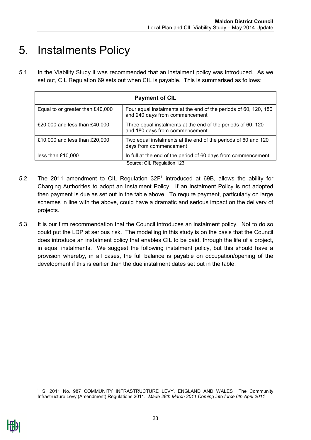### <span id="page-22-0"></span>5. Instalments Policy

5.1 In the Viability Study it was recommended that an instalment policy was introduced. As we set out, CIL Regulation 69 sets out when CIL is payable. This is summarised as follows:

| <b>Payment of CIL</b>            |                                                                                                    |  |  |  |  |  |  |  |  |
|----------------------------------|----------------------------------------------------------------------------------------------------|--|--|--|--|--|--|--|--|
| Equal to or greater than £40,000 | Four equal instalments at the end of the periods of 60, 120, 180<br>and 240 days from commencement |  |  |  |  |  |  |  |  |
| £20,000 and less than £40,000    | Three equal instalments at the end of the periods of 60, 120<br>and 180 days from commencement     |  |  |  |  |  |  |  |  |
| £10,000 and less than £20,000    | Two equal instalments at the end of the periods of 60 and 120<br>days from commencement            |  |  |  |  |  |  |  |  |
| less than £10,000                | In full at the end of the period of 60 days from commencement                                      |  |  |  |  |  |  |  |  |
|                                  | Source: CIL Regulation 123                                                                         |  |  |  |  |  |  |  |  |

- 5.2 The 2011 amendment to CIL Regulation  $32F<sup>3</sup>$  introduced at 69B, allows the ability for Charging Authorities to adopt an Instalment Policy. If an Instalment Policy is not adopted then payment is due as set out in the table above. To require payment, particularly on large schemes in line with the above, could have a dramatic and serious impact on the delivery of projects.
- 5.3 It is our firm recommendation that the Council introduces an instalment policy. Not to do so could put the LDP at serious risk. The modelling in this study is on the basis that the Council does introduce an instalment policy that enables CIL to be paid, through the life of a project, in equal instalments. We suggest the following instalment policy, but this should have a provision whereby, in all cases, the full balance is payable on occupation/opening of the development if this is earlier than the due instalment dates set out in the table.

-

<sup>&</sup>lt;sup>3</sup> SI 2011 No. 987 COMMUNITY INFRASTRUCTURE LEVY, ENGLAND AND WALES The Community Infrastructure Levy (Amendment) Regulations 2011. *Made 28th March 2011 Coming into force 6th April 2011*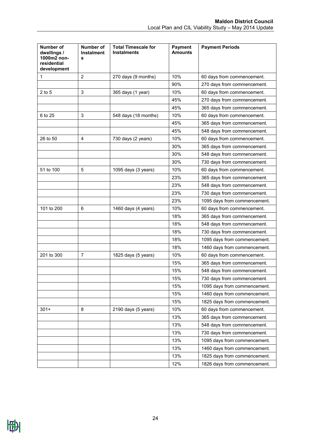| Number of<br>dwellings /<br>1000m2 non-<br>residential<br>development | <b>Number of</b><br><b>Instalment</b><br>s | <b>Total Timescale for</b><br><b>Instalments</b> | <b>Payment</b><br><b>Amounts</b> | <b>Payment Periods</b>       |
|-----------------------------------------------------------------------|--------------------------------------------|--------------------------------------------------|----------------------------------|------------------------------|
| 1                                                                     | $\overline{2}$                             | 270 days (9 months)                              | 10%                              | 60 days from commencement.   |
|                                                                       |                                            |                                                  | 90%                              | 270 days from commencement.  |
| $2$ to 5                                                              | 3                                          | 365 days (1 year)                                | 10%                              | 60 days from commencement.   |
|                                                                       |                                            |                                                  | 45%                              | 270 days from commencement.  |
|                                                                       |                                            |                                                  | 45%                              | 365 days from commencement.  |
| 6 to 25                                                               | 3                                          | 548 days (18 months)                             | 10%                              | 60 days from commencement.   |
|                                                                       |                                            |                                                  | 45%                              | 365 days from commencement.  |
|                                                                       |                                            |                                                  | 45%                              | 548 days from commencement.  |
| 26 to 50                                                              | $\overline{4}$                             | 730 days (2 years)                               | 10%                              | 60 days from commencement.   |
|                                                                       |                                            |                                                  | 30%                              | 365 days from commencement.  |
|                                                                       |                                            |                                                  | 30%                              | 548 days from commencement.  |
|                                                                       |                                            |                                                  | 30%                              | 730 days from commencement.  |
| 51 to 100                                                             | 5                                          | 1095 days (3 years)                              | 10%                              | 60 days from commencement.   |
|                                                                       |                                            |                                                  | 23%                              | 365 days from commencement.  |
|                                                                       |                                            |                                                  | 23%                              | 548 days from commencement.  |
|                                                                       |                                            |                                                  | 23%                              | 730 days from commencement.  |
|                                                                       |                                            |                                                  | 23%                              | 1095 days from commencement. |
| 101 to 200                                                            | 6                                          | 1460 days (4 years)                              | 10%                              | 60 days from commencement.   |
|                                                                       |                                            |                                                  | 18%                              | 365 days from commencement.  |
|                                                                       |                                            |                                                  | 18%                              | 548 days from commencement.  |
|                                                                       |                                            |                                                  | 18%                              | 730 days from commencement.  |
|                                                                       |                                            |                                                  | 18%                              | 1095 days from commencement. |
|                                                                       |                                            |                                                  | 18%                              | 1460 days from commencement. |
| 201 to 300                                                            | $\overline{7}$                             | 1825 days (5 years)                              | 10%                              | 60 days from commencement.   |
|                                                                       |                                            |                                                  | 15%                              | 365 days from commencement.  |
|                                                                       |                                            |                                                  | 15%                              | 548 days from commencement.  |
|                                                                       |                                            |                                                  | 15%                              | 730 days from commencement.  |
|                                                                       |                                            |                                                  | 15%                              | 1095 days from commencement. |
|                                                                       |                                            |                                                  | 15%                              | 1460 days from commencement. |
|                                                                       |                                            |                                                  | 15%                              | 1825 days from commencement. |
| $301+$                                                                | 8                                          | 2190 days (5 years)                              | 10%                              | 60 days from commencement.   |
|                                                                       |                                            |                                                  | 13%                              | 365 days from commencement.  |
|                                                                       |                                            |                                                  | 13%                              | 548 days from commencement.  |
|                                                                       |                                            |                                                  | 13%                              | 730 days from commencement.  |
|                                                                       |                                            |                                                  | 13%                              | 1095 days from commencement. |
|                                                                       |                                            |                                                  | 13%                              | 1460 days from commencement. |
|                                                                       |                                            |                                                  | 13%                              | 1825 days from commencement. |
|                                                                       |                                            |                                                  | 12%                              | 1826 days from commencement. |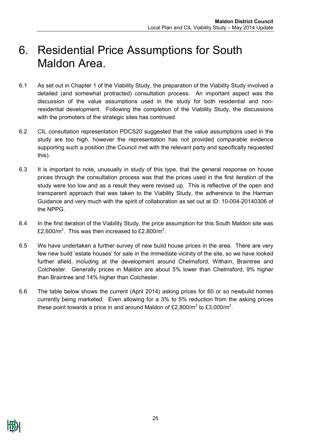### <span id="page-24-0"></span>6. Residential Price Assumptions for South Maldon Area.

- 6.1 As set out in Chapter 1 of the Viability Study, the preparation of the Viability Study involved a detailed (and somewhat protracted) consultation process. An important aspect was the discussion of the value assumptions used in the study for both residential and nonresidential development. Following the completion of the Viability Study, the discussions with the promoters of the strategic sites has continued.
- 6.2 CIL consultation representation PDCS20 suggested that the value assumptions used in the study are too high, however the representation has not provided comparable evidence supporting such a position (the Council met with the relevant party and specifically requested this).
- 6.3 It is important to note, unusually in study of this type, that the general response on house prices through the consultation process was that the prices used in the first iteration of the study were too low and as a result they were revised up. This is reflective of the open and transparent approach that was taken to the Viability Study, the adherence to the Harman Guidance and very much with the spirit of collaboration as set out at ID: 10-004-20140306 of the NPPG.
- 6.4 In the first iteration of the Viability Study, the price assumption for this South Maldon site was £2,600/m<sup>2</sup>. This was then increased to £2,800/m<sup>2</sup>.
- 6.5 We have undertaken a further survey of new build house prices in the area. There are very few new build 'estate houses' for sale in the immediate vicinity of the site, so we have looked further afield, including at the development around Chelmsford, Witham, Braintree and Colchester. Generally prices in Maldon are about 5% lower than Chelmsford, 9% higher than Braintree and 14% higher than Colchester.
- 6.6 The table below shows the current (April 2014) asking prices for 60 or so newbuild homes currently being marketed. Even allowing for a 3% to 5% reduction from the asking prices these point towards a price in and around Maldon of £2,800/m<sup>2</sup> to £3,000/m<sup>2</sup>.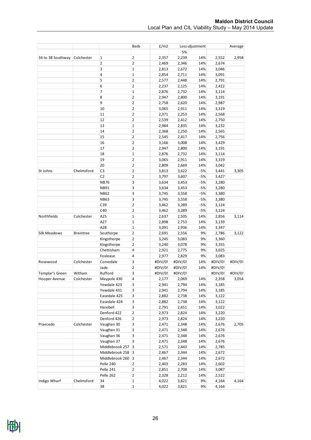|                   |                  |                   | <b>Beds</b>             | E/m2    |         | Less djustment |         | Average |
|-------------------|------------------|-------------------|-------------------------|---------|---------|----------------|---------|---------|
|                   |                  |                   |                         |         | 5%      |                |         |         |
| 34 to 38 Southway | Colchester       | 1                 | 2                       | 2,357   | 2,239   | 14%            | 2,552   | 2,958   |
|                   |                  | 2                 | $\overline{2}$          | 2,469   | 2,346   | 14%            | 2,674   |         |
|                   |                  | 3                 | $\mathbf 1$             | 2,813   | 2,672   | 14%            | 3,046   |         |
|                   |                  | 4                 | $\mathbf 1$             | 2,854   | 2,711   | 14%            | 3,091   |         |
|                   |                  | 5                 | 2                       | 2,577   | 2,448   | 14%            | 2,791   |         |
|                   |                  | 6                 | $\overline{2}$          | 2,237   | 2,125   | 14%            | 2,422   |         |
|                   |                  | 7                 | $\mathbf{1}$            | 2,876   | 2,732   | 14%            | 3,114   |         |
|                   |                  | 8                 | 2                       | 2,947   | 2,800   | 14%            | 3,191   |         |
|                   |                  | 9                 | 2                       | 2,758   | 2,620   | 14%            | 2,987   |         |
|                   |                  | 10                | 2                       | 3,065   | 2,911   | 14%            | 3,319   |         |
|                   |                  | 11                | $\overline{2}$          | 2,371   | 2,253   | 14%            | 2,568   |         |
|                   |                  | 12                | $\overline{2}$          | 2,539   | 2,412   | 14%            | 2,750   |         |
|                   |                  | 13                | $\mathbf 1$             | 2,984   | 2,835   | 14%            | 3,232   |         |
|                   |                  | 14                | 2                       | 2,368   | 2,250   | 14%            | 2,565   |         |
|                   |                  | 15                | 2                       | 2,545   | 2,417   | 14%            | 2,756   |         |
|                   |                  | 16                | $\overline{\mathbf{c}}$ | 3,166   | 3,008   | 14%            | 3,429   |         |
|                   |                  | 17                | $\overline{2}$          | 2,947   | 2,800   | 14%            | 3,191   |         |
|                   |                  | 18                | $\mathbf 1$             | 2,876   | 2,732   | 14%            | 3,114   |         |
|                   |                  | 19                | 2                       | 3,065   | 2,911   | 14%            | 3,319   |         |
|                   |                  | 20                | 2                       | 2,809   | 2,669   | 14%            | 3,042   |         |
| St Johns          | Chelmsford       | C <sub>3</sub>    | 2                       | 3,813   | 3,622   | $-5%$          | 3,441   | 3,305   |
|                   |                  | C <sub>2</sub>    | $\overline{\mathbf{c}}$ | 3,797   | 3,607   | $-5%$          | 3,427   |         |
|                   |                  | <b>NB76</b>       | 3                       | 3,634   | 3,453   | $-5%$          | 3,280   |         |
|                   |                  | <b>NB91</b>       | 3                       | 3,634   | 3,453   | $-5%$          | 3,280   |         |
|                   |                  | <b>NB62</b>       | 3                       | 3,745   | 3,558   | $-5%$          | 3,380   |         |
|                   |                  | <b>NB63</b>       | 3                       | 3,745   | 3,558   | $-5%$          | 3,380   |         |
|                   |                  | C39               | $\overline{\mathbf{c}}$ | 3,462   | 3,289   | $-5%$          | 3,124   |         |
|                   |                  | C40               | $\overline{2}$          | 3,462   | 3,289   | $-5%$          | 3,124   |         |
| Northfields       | Colchester       | A25               | $\mathbf 1$             | 2,637   | 2,505   | 14%            | 2,856   | 3,114   |
|                   |                  | A27               | $\mathbf{1}$            | 2,898   | 2,753   | 14%            | 3,139   |         |
|                   |                  | A28               | $\mathbf 1$             | 3,091   | 2,936   | 14%            | 3,347   |         |
| Silk Meadows      | <b>Braintree</b> | Southorpe         | $\mathbf 2$             | 2,691   | 2,556   | 9%             | 2,786   | 3,122   |
|                   |                  | Kingsthorpe       | 2                       | 3,245   | 3,083   | 9%             | 3,360   |         |
|                   |                  | Kingsthorpe       | $\mathbf 2$             | 3,240   | 3,078   | 9%             | 3,355   |         |
|                   |                  | Chettisham        | 4                       | 2,921   | 2,775   | 9%             | 3,025   |         |
|                   |                  | Foxlease          | 4                       | 2,977   | 2,829   | 9%             | 3,083   |         |
| Rosewood          | Colchester       | Corvedale         | 3                       | #DIV/0! | #DIV/0! | 14%            | #DIV/0! | #DIV/0! |
|                   |                  |                   | $\overline{2}$          | #DIV/0! |         | 14%            | #DIV/0! |         |
|                   |                  | Jade              | 3                       |         | #DIV/0! |                |         | #DIV/0! |
| Templar's Green   | Witham           | Rufford           |                         | #DIV/0! | #DIV/0! |                | #DIV/0! |         |
| Hooper Avenue     | Colchester       | Maypole 430       | 4                       | 2,177   | 2,069   | 14%            | 2,358   | 3,054   |
|                   |                  | Yewdale 423       | 3                       | 2,941   | 2,794   | 14%            | 3,185   |         |
|                   |                  | Yewdale 431       | 3                       | 2,941   | 2,794   | 14%            | 3,185   |         |
|                   |                  | Easedale 425      | 3                       | 2,882   | 2,738   | 14%            | 3,122   |         |
|                   |                  | Easedale 424      | 3                       | 2,882   | 2,738   | 14%            | 3,122   |         |
|                   |                  | Harebell          | 3                       | 2,791   | 2,651   | 14%            | 3,022   |         |
|                   |                  | Denford 422       | 2                       | 2,973   | 2,824   | 14%            | 3,220   |         |
|                   |                  | Denford 426       | 2                       | 2,973   | 2,824   | 14%            | 3,220   |         |
| Praecedo          | Colchester       | Vaughan 30        | 3                       | 2,471   | 2,348   | 14%            | 2,676   | 2,705   |
|                   |                  | Vaughan 31        | 3                       | 2,471   | 2,348   | 14%            | 2,676   |         |
|                   |                  | Vaughan 36        | 3                       | 2,471   | 2,348   | 14%            | 2,676   |         |
|                   |                  | Vaughan 37        | 3                       | 2,471   | 2,348   | 14%            | 2,676   |         |
|                   |                  | Middlebrook 257   | 3                       | 2,571   | 2,443   | 14%            | 2,785   |         |
|                   |                  | Middlebrook 258 3 |                         | 2,467   | 2,344   | 14%            | 2,672   |         |
|                   |                  | Middlebrook 260 3 |                         | 2,467   | 2,344   | 14%            | 2,672   |         |
|                   |                  | Pelle 240         | $\overline{2}$          | 2,403   | 2,283   | 14%            | 2,602   |         |
|                   |                  | Pelle 241         | 2                       | 2,851   | 2,708   | 14%            | 3,087   |         |
|                   |                  | Pelle 262         | 2                       | 2,328   | 2,212   | 14%            | 2,522   |         |
| Indigo Wharf      | Chelmsford       | 34                | $\mathbf 1$             | 4,022   | 3,821   | 9%             | 4,164   | 4,164   |
|                   |                  | 38                | $\mathbf 1$             | 4,022   | 3,821   | 9%             | 4,164   |         |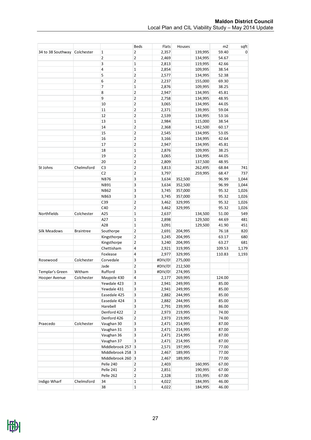|                   |                  |                 | Beds                    | Flats   | Houses  |         | m <sub>2</sub> | sqft  |
|-------------------|------------------|-----------------|-------------------------|---------|---------|---------|----------------|-------|
| 34 to 38 Southway | Colchester       | 1               | 2                       | 2,357   |         | 139,995 | 59.40          | 0     |
|                   |                  | 2               | 2                       | 2,469   |         | 134,995 | 54.67          |       |
|                   |                  | 3               | 1                       | 2,813   |         | 119,995 | 42.66          |       |
|                   |                  | 4               | $\mathbf{1}$            | 2,854   |         | 109,995 | 38.54          |       |
|                   |                  | 5               | 2                       | 2,577   |         | 134,995 | 52.38          |       |
|                   |                  | 6               | 2                       | 2,237   |         | 155,000 | 69.30          |       |
|                   |                  | 7               | $\mathbf 1$             | 2,876   |         | 109,995 | 38.25          |       |
|                   |                  | 8               | 2                       | 2,947   |         | 134,995 | 45.81          |       |
|                   |                  | 9               | 2                       | 2,758   |         | 134,995 | 48.95          |       |
|                   |                  | 10              | 2                       | 3,065   |         | 134,995 | 44.05          |       |
|                   |                  | 11              | 2                       | 2,371   |         | 139,995 | 59.04          |       |
|                   |                  | 12              | 2                       | 2,539   |         | 134,995 | 53.16          |       |
|                   |                  | 13              | $\mathbf 1$             | 2,984   |         | 115,000 | 38.54          |       |
|                   |                  | 14              | 2                       | 2,368   |         | 142,500 | 60.17          |       |
|                   |                  | 15              | 2                       | 2,545   |         | 134,995 | 53.05          |       |
|                   |                  | 16              | 2                       | 3,166   |         | 134,995 | 42.64          |       |
|                   |                  | 17              | 2                       | 2,947   |         | 134,995 | 45.81          |       |
|                   |                  | 18              | $\mathbf{1}$            | 2,876   |         | 109,995 | 38.25          |       |
|                   |                  | 19              | 2                       | 3,065   |         | 134,995 | 44.05          |       |
|                   |                  | 20              | 2                       | 2,809   |         | 137,500 | 48.95          |       |
| St Johns          | Chelmsford       | C <sub>3</sub>  | 2                       | 3,813   |         | 262,495 | 68.84          | 741   |
|                   |                  | C <sub>2</sub>  | 2                       | 3,797   |         | 259,995 | 68.47          | 737   |
|                   |                  | <b>NB76</b>     | 3                       | 3,634   | 352,500 |         | 96.99          | 1,044 |
|                   |                  | NB91            | 3                       | 3,634   | 352,500 |         | 96.99          | 1,044 |
|                   |                  | <b>NB62</b>     | 3                       | 3,745   | 357,000 |         | 95.32          | 1,026 |
|                   |                  | NB63            | 3                       | 3,745   | 357,000 |         | 95.32          | 1,026 |
|                   |                  | C39             | $\overline{\mathbf{c}}$ | 3,462   | 329,995 |         | 95.32          | 1,026 |
|                   |                  | C40             | 2                       | 3,462   | 329,995 |         | 95.32          | 1,026 |
| Northfields       | Colchester       | A25             | $\mathbf{1}$            | 2,637   |         | 134,500 | 51.00          | 549   |
|                   |                  | A27             | $\mathbf{1}$            | 2,898   |         | 129,500 | 44.69          | 481   |
|                   |                  | A28             | 1                       | 3,091   |         | 129,500 | 41.90          | 451   |
| Silk Meadows      | <b>Braintree</b> | Southorpe       | 2                       | 2,691   | 204,995 |         | 76.18          | 820   |
|                   |                  | Kingsthorpe     | 2                       | 3,245   | 204,995 |         | 63.17          | 680   |
|                   |                  | Kingsthorpe     | 2                       | 3,240   | 204,995 |         | 63.27          | 681   |
|                   |                  | Chettisham      | 4                       | 2,921   | 319,995 |         | 109.53         | 1,179 |
|                   |                  | Foxlease        | 4                       | 2,977   | 329,995 |         | 110.83         | 1,193 |
| Rosewood          | Colchester       | Corvedale       | 3                       | #DIV/0! | 275,000 |         |                |       |
|                   |                  | Jade            | 2                       | #DIV/0! | 212,500 |         |                |       |
| Templar's Green   | Witham           | Rufford         | 3                       | #DIV/0! | 274,995 |         |                |       |
| Hooper Avenue     | Colchester       | Maypole 430     | 4                       | 2,177   | 269,995 |         | 124.00         |       |
|                   |                  | Yewdale 423     | 3                       | 2,941   | 249,995 |         | 85.00          |       |
|                   |                  | Yewdale 431     | 3                       | 2,941   | 249,995 |         | 85.00          |       |
|                   |                  | Easedale 425    | 3                       | 2,882   | 244,995 |         | 85.00          |       |
|                   |                  | Easedale 424    | 3                       | 2,882   | 244,995 |         | 85.00          |       |
|                   |                  | Harebell        | 3                       | 2,791   | 239,995 |         | 86.00          |       |
|                   |                  | Denford 422     | $\mathbf{2}$            | 2,973   | 219,995 |         | 74.00          |       |
|                   |                  | Denford 426     | 2                       | 2,973   | 219,995 |         | 74.00          |       |
| Praecedo          | Colchester       | Vaughan 30      | 3                       | 2,471   | 214,995 |         | 87.00          |       |
|                   |                  | Vaughan 31      | 3                       | 2,471   | 214,995 |         | 87.00          |       |
|                   |                  | Vaughan 36      | 3                       | 2,471   | 214,995 |         | 87.00          |       |
|                   |                  | Vaughan 37      | 3                       | 2,471   | 214,995 |         | 87.00          |       |
|                   |                  | Middlebrook 257 | $\vert 3 \vert$         | 2,571   | 197,995 |         | 77.00          |       |
|                   |                  | Middlebrook 258 | $\vert 3$               | 2,467   | 189,995 |         | 77.00          |       |
|                   |                  | Middlebrook 260 | $\overline{3}$          | 2,467   | 189,995 |         | 77.00          |       |
|                   |                  | Pelle 240       | $\overline{2}$          | 2,403   |         | 160,995 | 67.00          |       |
|                   |                  | Pelle 241       | $\mathbf{2}$            | 2,851   |         | 190,995 | 67.00          |       |
|                   |                  | Pelle 262       | 2                       | 2,328   |         | 155,995 | 67.00          |       |
| Indigo Wharf      | Chelmsford       | 34              | 1                       | 4,022   |         | 184,995 | 46.00          |       |
|                   |                  | 38              | $\mathbf{1}$            | 4,022   |         | 184,995 | 46.00          |       |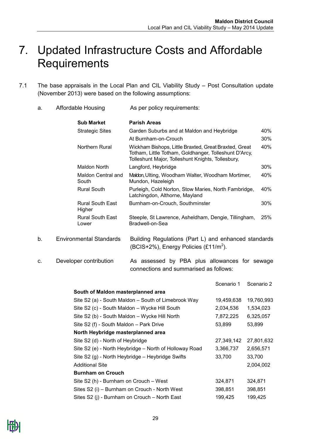### <span id="page-28-0"></span>7. Updated Infrastructure Costs and Affordable **Requirements**

- 7.1 The base appraisals in the Local Plan and CIL Viability Study Post Consultation update (November 2013) were based on the following assumptions:
	- a. Affordable Housing As per policy requirements:

|    | <b>Sub Market</b>                 | <b>Parish Areas</b>                                                                                                                                                 |     |
|----|-----------------------------------|---------------------------------------------------------------------------------------------------------------------------------------------------------------------|-----|
|    | <b>Strategic Sites</b>            | Garden Suburbs and at Maldon and Heybridge                                                                                                                          | 40% |
|    |                                   | At Burnham-on-Crouch                                                                                                                                                | 30% |
|    | Northern Rural                    | Wickham Bishops, Little Braxted, Great Braxted, Great<br>Totham, Little Totham, Goldhanger, Tolleshunt D'Arcy,<br>Tolleshunt Major, Tolleshunt Knights, Tollesbury, | 40% |
|    | Maldon North                      | Langford, Heybridge                                                                                                                                                 | 30% |
|    | Maldon Central and<br>South       | Maldon, Ulting, Woodham Walter, Woodham Mortimer,<br>Mundon, Hazeleigh                                                                                              | 40% |
|    | <b>Rural South</b>                | Purleigh, Cold Norton, Stow Maries, North Fambridge,<br>Latchingdon, Althorne, Mayland                                                                              | 40% |
|    | <b>Rural South East</b><br>Higher | Burnham-on-Crouch, Southminster                                                                                                                                     | 30% |
|    | <b>Rural South East</b><br>Lower  | Steeple, St Lawrence, Asheldham, Dengie, Tillingham,<br>Bradwell-on-Sea                                                                                             | 25% |
| b. | <b>Environmental Standards</b>    | Building Regulations (Part L) and enhanced standards<br>(BCIS+2%), Energy Policies (£11/m <sup>2</sup> ).                                                           |     |

c. Developer contribution As assessed by PBA plus allowances for sewage connections and summarised as follows:

|                                                        | Scenario 1 | Scenario 2 |
|--------------------------------------------------------|------------|------------|
| South of Maldon masterplanned area                     |            |            |
| Site S2 (a) - South Maldon – South of Limebrook Way    | 19,459,638 | 19,760,993 |
| Site S2 (c) - South Maldon - Wycke Hill South          | 2,034,536  | 1,534,023  |
| Site S2 (b) - South Maldon - Wycke Hill North          | 7,872,225  | 6,325,057  |
| Site S2 (f) - South Maldon - Park Drive                | 53,899     | 53,899     |
| North Heybridge masterplanned area                     |            |            |
| Site S2 (d) - North of Heybridge                       | 27,349,142 | 27,801,632 |
| Site S2 (e) - North Heybridge – North of Holloway Road | 3,366,737  | 2,656,571  |
| Site S2 (g) - North Heybridge – Heybridge Swifts       | 33,700     | 33,700     |
| <b>Additional Site</b>                                 |            | 2,004,002  |
| <b>Burnham on Crouch</b>                               |            |            |
| Site S2 (h) - Burnham on Crouch – West                 | 324,871    | 324,871    |
| Sites S2 (i) - Burnham on Crouch - North West          | 398,851    | 398,851    |
| Sites S2 (j) - Burnham on Crouch - North East          | 199,425    | 199,425    |
|                                                        |            |            |

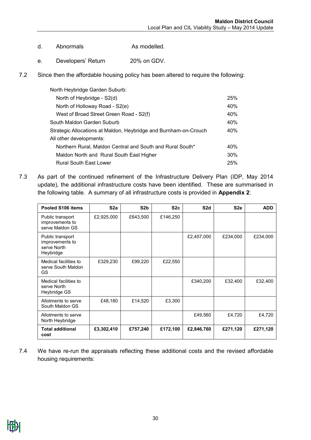- d. Abnormals As modelled.
- e. Developers' Return 20% on GDV.
- 7.2 Since then the affordable housing policy has been altered to require the following:

| North Heybridge Garden Suburb:                                   |     |
|------------------------------------------------------------------|-----|
| North of Heybridge - S2(d)                                       | 25% |
| North of Holloway Road - S2(e)                                   | 40% |
| West of Broad Street Green Road - S2(f)                          | 40% |
| South Maldon Garden Suburb                                       | 40% |
| Strategic Allocations at Maldon, Heybridge and Burnham-on-Crouch | 40% |
| All other developments:                                          |     |
| Northern Rural, Maldon Central and South and Rural South*        | 40% |
| Maldon North and Rural South East Higher                         | 30% |
| <b>Rural South East Lower</b>                                    | 25% |

7.3 As part of the continued refinement of the Infrastructure Delivery Plan (IDP, May 2014 update), the additional infrastructure costs have been identified. These are summarised in the following table. A summary of all infrastructure costs is provided in **Appendix 2**:

| Pooled S106 items                                               | S <sub>2a</sub> | S <sub>2</sub> b | S2c      | S <sub>2</sub> d | S <sub>2e</sub> | <b>ADD</b> |
|-----------------------------------------------------------------|-----------------|------------------|----------|------------------|-----------------|------------|
| Public transport<br>improvements to<br>serve Maldon GS          | £2,925,000      | £643,500         | £146,250 |                  |                 |            |
| Public transport<br>improvements to<br>serve North<br>Heybridge |                 |                  |          | £2,457,000       | £234,000        | £234,000   |
| Medical facilities to<br>serve South Maldon<br>GS.              | £329,230        | £99,220          | £22,550  |                  |                 |            |
| Medical facilities to<br>serve North<br>Heybridge GS            |                 |                  |          | £340,200         | £32,400         | £32,400    |
| Allotments to serve<br>South Maldon GS                          | £48,180         | £14,520          | £3,300   |                  |                 |            |
| Allotments to serve<br>North Heybridge                          |                 |                  |          | £49,560          | £4,720          | £4,720     |
| <b>Total additional</b><br>cost                                 | £3,302,410      | £757,240         | £172,100 | £2,846,760       | £271,120        | £271,120   |

7.4 We have re-run the appraisals reflecting these additional costs and the revised affordable housing requirements:

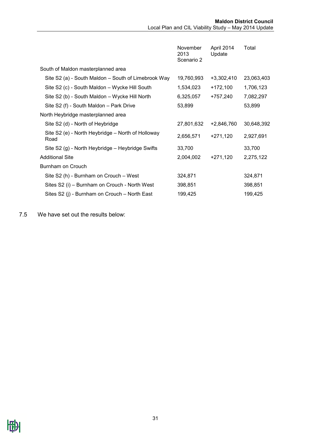| November<br>2013<br>Scenario 2 | April 2014<br>Update | Total      |
|--------------------------------|----------------------|------------|
|                                |                      |            |
| 19,760,993                     | $+3,302,410$         | 23,063,403 |
| 1,534,023                      | $+172,100$           | 1,706,123  |
| 6,325,057                      | +757,240             | 7,082,297  |
| 53,899                         |                      | 53,899     |
|                                |                      |            |
| 27,801,632                     | +2,846,760           | 30,648,392 |
| 2,656,571                      | +271,120             | 2,927,691  |
| 33,700                         |                      | 33,700     |
| 2,004,002                      | $+271,120$           | 2,275,122  |
|                                |                      |            |
| 324,871                        |                      | 324,871    |
| 398,851                        |                      | 398,851    |
| 199,425                        |                      | 199,425    |
|                                |                      |            |

7.5 We have set out the results below: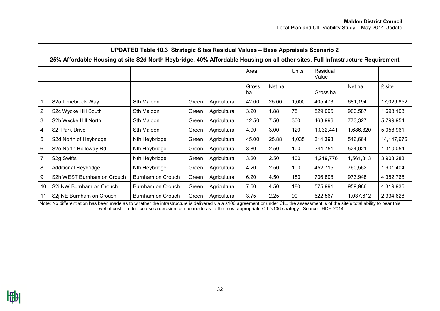|                 | UPDATED Table 10.3 Strategic Sites Residual Values - Base Appraisals Scenario 2                                                |                   |       |              |             |        |       |                   |           |              |  |  |
|-----------------|--------------------------------------------------------------------------------------------------------------------------------|-------------------|-------|--------------|-------------|--------|-------|-------------------|-----------|--------------|--|--|
|                 | 25% Affordable Housing at site S2d North Heybridge, 40% Affordable Housing on all other sites, Full Infrastructure Requirement |                   |       |              |             |        |       |                   |           |              |  |  |
|                 |                                                                                                                                |                   |       |              | Area        |        | Units | Residual<br>Value |           |              |  |  |
|                 |                                                                                                                                |                   |       |              | Gross<br>ha | Net ha |       | Gross ha          | Net ha    | £ site       |  |  |
| $\overline{1}$  | S2a Limebrook Way                                                                                                              | Sth Maldon        | Green | Agricultural | 42.00       | 25.00  | 1,000 | 405,473           | 681,194   | 17,029,852   |  |  |
| $\overline{2}$  | S2c Wycke Hill South                                                                                                           | Sth Maldon        | Green | Agricultural | 3.20        | 1.88   | 75    | 529,095           | 900,587   | 1,693,103    |  |  |
| 3               | S2b Wycke Hill North                                                                                                           | Sth Maldon        | Green | Agricultural | 12.50       | 7.50   | 300   | 463,996           | 773,327   | 5,799,954    |  |  |
| $\overline{4}$  | S <sub>2</sub> f Park Drive                                                                                                    | Sth Maldon        | Green | Agricultural | 4.90        | 3.00   | 120   | 1,032,441         | 1,686,320 | 5,058,961    |  |  |
| $5\overline{)}$ | S2d North of Heybridge                                                                                                         | Nth Heybridge     | Green | Agricultural | 45.00       | 25.88  | 1,035 | 314,393           | 546,664   | 14, 147, 676 |  |  |
| $6\phantom{1}6$ | S2e North Holloway Rd                                                                                                          | Nth Heybridge     | Green | Agricultural | 3.80        | 2.50   | 100   | 344,751           | 524,021   | 1,310,054    |  |  |
| $\overline{7}$  | S <sub>2</sub> g Swifts                                                                                                        | Nth Heybridge     | Green | Agricultural | 3.20        | 2.50   | 100   | 1,219,776         | 1,561,313 | 3,903,283    |  |  |
| 8               | Additional Heybridge                                                                                                           | Nth Heybridge     | Green | Agricultural | 4.20        | 2.50   | 100   | 452,715           | 760,562   | 1,901,404    |  |  |
| 9               | S2h WEST Burnham on Crouch                                                                                                     | Burnham on Crouch | Green | Agricultural | 6.20        | 4.50   | 180   | 706,898           | 973,948   | 4,382,768    |  |  |
| 10              | S2i NW Burnham on Crouch                                                                                                       | Burnham on Crouch | Green | Agricultural | 7.50        | 4.50   | 180   | 575,991           | 959,986   | 4,319,935    |  |  |
| 11              | S2j NE Burnham on Crouch                                                                                                       | Burnham on Crouch | Green | Agricultural | 3.75        | 2.25   | 90    | 622,567           | 1,037,612 | 2,334,628    |  |  |

Note: No differentiation has been made as to whether the infrastructure is delivered via a s106 agreement or under CIL, the assessment is of the site's total ability to bear this level of cost. In due course a decision can be made as to the most appropriate CIL/s106 strategy. Source: HDH 2014



**In**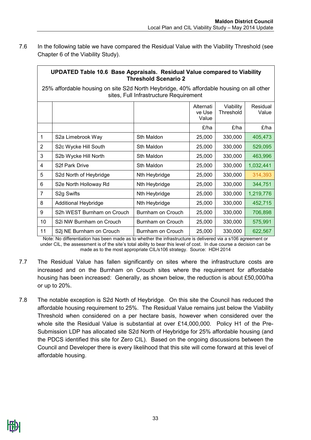7.6 In the following table we have compared the Residual Value with the Viability Threshold (see Chapter 6 of the Viability Study).

**UPDATED Table 10.6 Base Appraisals. Residual Value compared to Viability** 

|                                                                                                                                   | OPDATED Table T0.6 Dase Appraisais. Residual value compared to viability<br><b>Threshold Scenario 2</b> |                   |                              |                        |                   |  |  |  |  |
|-----------------------------------------------------------------------------------------------------------------------------------|---------------------------------------------------------------------------------------------------------|-------------------|------------------------------|------------------------|-------------------|--|--|--|--|
| 25% affordable housing on site S2d North Heybridge, 40% affordable housing on all other<br>sites, Full Infrastructure Requirement |                                                                                                         |                   |                              |                        |                   |  |  |  |  |
|                                                                                                                                   |                                                                                                         |                   | Alternati<br>ve Use<br>Value | Viability<br>Threshold | Residual<br>Value |  |  |  |  |
|                                                                                                                                   |                                                                                                         |                   | £/ha                         | £/ha                   | £/ha              |  |  |  |  |
| $\mathbf{1}$                                                                                                                      | S2a Limebrook Way                                                                                       | Sth Maldon        | 25,000                       | 330,000                | 405,473           |  |  |  |  |
| $\overline{2}$                                                                                                                    | S2c Wycke Hill South                                                                                    | Sth Maldon        | 25,000                       | 330,000                | 529,095           |  |  |  |  |
| 3                                                                                                                                 | S2b Wycke Hill North                                                                                    | Sth Maldon        | 25,000                       | 330,000                | 463,996           |  |  |  |  |
| 4                                                                                                                                 | <b>S2f Park Drive</b>                                                                                   | Sth Maldon        | 25,000                       | 330,000                | 1,032,441         |  |  |  |  |
| 5                                                                                                                                 | S2d North of Heybridge                                                                                  | Nth Heybridge     | 25,000                       | 330,000                | 314,393           |  |  |  |  |
| 6                                                                                                                                 | S2e North Holloway Rd                                                                                   | Nth Heybridge     | 25,000                       | 330,000                | 344,751           |  |  |  |  |
| $\overline{7}$                                                                                                                    | S <sub>2g</sub> Swifts                                                                                  | Nth Heybridge     | 25,000                       | 330,000                | 1,219,776         |  |  |  |  |
| 8                                                                                                                                 | <b>Additional Heybridge</b>                                                                             | Nth Heybridge     | 25,000                       | 330,000                | 452,715           |  |  |  |  |
| 9                                                                                                                                 | S2h WEST Burnham on Crouch                                                                              | Burnham on Crouch | 25,000                       | 330,000                | 706,898           |  |  |  |  |
| 10                                                                                                                                | S2i NW Burnham on Crouch                                                                                | Burnham on Crouch | 25,000                       | 330,000                | 575,991           |  |  |  |  |
| 11                                                                                                                                | S2j NE Burnham on Crouch                                                                                | Burnham on Crouch | 25,000                       | 330,000                | 622,567           |  |  |  |  |

Note: No differentiation has been made as to whether the infrastructure is delivered via a s106 agreement or under CIL, the assessment is of the site's total ability to bear this level of cost. In due course a decision can be made as to the most appropriate CIL/s106 strategy. Source: HDH 2014

- 7.7 The Residual Value has fallen significantly on sites where the infrastructure costs are increased and on the Burnham on Crouch sites where the requirement for affordable housing has been increased: Generally, as shown below, the reduction is about £50,000/ha or up to 20%.
- 7.8 The notable exception is S2d North of Heybridge. On this site the Council has reduced the affordable housing requirement to 25%. The Residual Value remains just below the Viability Threshold when considered on a per hectare basis, however when considered over the whole site the Residual Value is substantial at over £14,000,000. Policy H1 of the Pre-Submission LDP has allocated site S2d North of Heybridge for 25% affordable housing (and the PDCS identified this site for Zero CIL). Based on the ongoing discussions between the Council and Developer there is every likelihood that this site will come forward at this level of affordable housing.

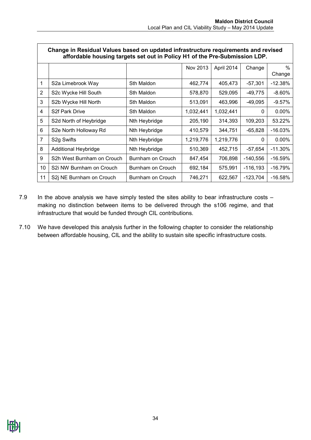٦

|                | Change in Residual Values based on updated infrastructure requirements and revised<br>affordable housing targets set out in Policy H1 of the Pre-Submission LDP. |                   |           |            |             |                         |  |  |  |
|----------------|------------------------------------------------------------------------------------------------------------------------------------------------------------------|-------------------|-----------|------------|-------------|-------------------------|--|--|--|
|                |                                                                                                                                                                  |                   | Nov 2013  | April 2014 | Change      | $\frac{0}{0}$<br>Change |  |  |  |
| 1              | S2a Limebrook Way                                                                                                                                                | Sth Maldon        | 462,774   | 405,473    | $-57,301$   | $-12.38%$               |  |  |  |
| $\overline{2}$ | S2c Wycke Hill South                                                                                                                                             | Sth Maldon        | 578,870   | 529,095    | $-49,775$   | $-8.60%$                |  |  |  |
| 3              | S2b Wycke Hill North                                                                                                                                             | Sth Maldon        | 513,091   | 463,996    | $-49,095$   | -9.57%                  |  |  |  |
| 4              | S2f Park Drive                                                                                                                                                   | Sth Maldon        | 1,032,441 | 1,032,441  | 0           | $0.00\%$                |  |  |  |
| 5              | S2d North of Heybridge                                                                                                                                           | Nth Heybridge     | 205,190   | 314,393    | 109,203     | 53.22%                  |  |  |  |
| 6              | S2e North Holloway Rd                                                                                                                                            | Nth Heybridge     | 410,579   | 344,751    | $-65,828$   | $-16.03%$               |  |  |  |
| $\overline{7}$ | S <sub>2</sub> g Swifts                                                                                                                                          | Nth Heybridge     | 1,219,776 | 1,219,776  | 0           | $0.00\%$                |  |  |  |
| 8              | <b>Additional Heybridge</b>                                                                                                                                      | Nth Heybridge     | 510,369   | 452,715    | $-57,654$   | $-11.30\%$              |  |  |  |
| 9              | S2h West Burnham on Crouch                                                                                                                                       | Burnham on Crouch | 847,454   | 706,898    | $-140,556$  | $-16.59%$               |  |  |  |
| 10             | S2i NW Burnham on Crouch                                                                                                                                         | Burnham on Crouch | 692,184   | 575,991    | $-116, 193$ | $-16.79%$               |  |  |  |
| 11             | S2j NE Burnham on Crouch                                                                                                                                         | Burnham on Crouch | 746,271   | 622,567    | $-123,704$  | $-16.58%$               |  |  |  |

- 7.9 In the above analysis we have simply tested the sites ability to bear infrastructure costs making no distinction between items to be delivered through the s106 regime, and that infrastructure that would be funded through CIL contributions.
- 7.10 We have developed this analysis further in the following chapter to consider the relationship between affordable housing, CIL and the ability to sustain site specific infrastructure costs.

 $\Gamma$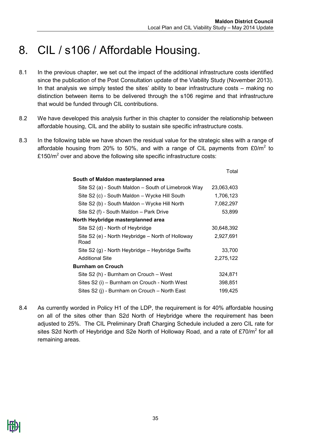### <span id="page-34-0"></span>8. CIL / s106 / Affordable Housing.

- 8.1 In the previous chapter, we set out the impact of the additional infrastructure costs identified since the publication of the Post Consultation update of the Viability Study (November 2013). In that analysis we simply tested the sites' ability to bear infrastructure costs – making no distinction between items to be delivered through the s106 regime and that infrastructure that would be funded through CIL contributions.
- 8.2 We have developed this analysis further in this chapter to consider the relationship between affordable housing, CIL and the ability to sustain site specific infrastructure costs.
- 8.3 In the following table we have shown the residual value for the strategic sites with a range of affordable housing from 20% to 50%, and with a range of CIL payments from  $£0/m<sup>2</sup>$  to £150/ $m^2$  over and above the following site specific infrastructure costs:

|                                                           | Total      |
|-----------------------------------------------------------|------------|
| South of Maldon masterplanned area                        |            |
| Site S2 (a) - South Maldon - South of Limebrook Way       | 23,063,403 |
| Site S2 (c) - South Maldon - Wycke Hill South             | 1,706,123  |
| Site S2 (b) - South Maldon - Wycke Hill North             | 7,082,297  |
| Site S2 (f) - South Maldon - Park Drive                   | 53,899     |
| North Heybridge masterplanned area                        |            |
| Site S2 (d) - North of Heybridge                          | 30,648,392 |
| Site S2 (e) - North Heybridge - North of Holloway<br>Road | 2,927,691  |
| Site S2 (g) - North Heybridge – Heybridge Swifts          | 33,700     |
| <b>Additional Site</b>                                    | 2,275,122  |
| <b>Burnham on Crouch</b>                                  |            |
| Site S2 (h) - Burnham on Crouch - West                    | 324,871    |
| Sites S2 (i) - Burnham on Crouch - North West             | 398,851    |
| Sites S2 (j) - Burnham on Crouch - North East             | 199,425    |

8.4 As currently worded in Policy H1 of the LDP, the requirement is for 40% affordable housing on all of the sites other than S2d North of Heybridge where the requirement has been adjusted to 25%. The CIL Preliminary Draft Charging Schedule included a zero CIL rate for sites S2d North of Heybridge and S2e North of Holloway Road, and a rate of £70/m<sup>2</sup> for all remaining areas.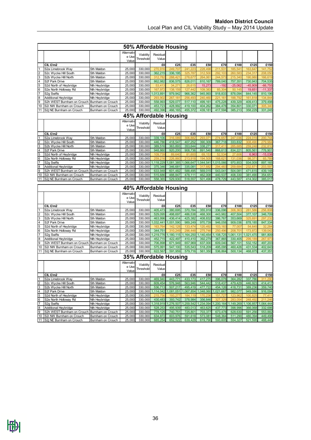|                         |                                                         |                                        |                   |                    | 50% Affordable Housing |                      |                    |                    |                    |                    |                    |                    |
|-------------------------|---------------------------------------------------------|----------------------------------------|-------------------|--------------------|------------------------|----------------------|--------------------|--------------------|--------------------|--------------------|--------------------|--------------------|
|                         |                                                         |                                        | Alternativ        | Viability          | Residual               |                      |                    |                    |                    |                    |                    |                    |
|                         |                                                         |                                        | e Use             | Threshold          | Value                  |                      |                    |                    |                    |                    |                    |                    |
|                         |                                                         |                                        | Value             |                    |                        |                      |                    |                    |                    |                    |                    |                    |
| $\mathbf{1}$            | CIL £/m2<br>S2a Limebrook Way                           | Sth Maldon                             | 25,000            | 330,000            | £0<br>270,916          | £25<br>249.707       | £35<br>241,223     | £50<br>228,498     | £70<br>211,53      | £100<br>185,541    | £125<br>163,647    | £150<br>141.752    |
| $\overline{2}$          | S2c Wycke Hill South                                    | Sth Maldon                             | 25,000            | 330,000            | 362,215                | 336,195              | 325,787            | 312,500            | 292,103            | 260,583            | 234,317            | 208,050            |
| $\overline{3}$          | S2b Wycke Hill North                                    | Sth Maldon                             | 25,000            | 330,000            | 312,782                | 288,421              | 278,677            | 264.061            | 244,573            | 215,340            | 190,980            | 166,619            |
| $\overline{4}$          | S2f Park Drive                                          | Sth Maldon                             | 25,000            | 330,000            | 862,982                | 836,575              | 826,011            | 810,167            | 789,040            | 757,351            | 730,943            | 704,535            |
| $\overline{5}$          | S2d North of Heybridge                                  | Nth Heybridge                          | 25,000            | 330,000            | 53,413                 | 34,271               | 26,615             | 15,273             | $-192$             | $-25,062$          | $-45,909$          | $-66,755$          |
| $6\phantom{a}$          | S2e North Holloway Rd                                   | Nth Heybridge                          | 25,000            | 330,000            | 167,972                | 138,159              | 127,442            | 109,383            | 85,304             | 50,145             | 19,651             | $-11,337$          |
| $\overline{7}$          | S <sub>2</sub> g Swifts                                 | Nth Heybridge                          | 25,000            | 330,000            | ,013,891               | 979,942              | 966,362            | 945,993            | 918,833            | 878,094            | 844,145            | 810,196            |
| $\bf{8}$<br>9           | Additional Heybridge<br>S2h WEST Burnham on Crouch      | Nth Heybridge<br>Burnham on Crouch     | 25,000<br>25,000  | 330,000<br>330,000 | 293,902<br>558,993     | 267,181<br>529,077   | 256,493<br>517,110 | 240,460<br>499,161 | 221,161<br>475,228 | 188,792<br>439,329 | 161,818<br>409,413 | 134.844<br>379,498 |
| 10                      | S2i NW Burnham on Crouch                                | Burnham on Crouch                      | 25,000            | 330,000            | 453,723                | 428,992              | 419,100            | 404,262            | 384,478            | 354,801            | 330,071            | 305,340            |
|                         | 11   S2j NE Burnham on Crouch                           | Burnham on Crouch                      | 25,000            | 330,000            | 492,396                | 466,165              | 455,372            | 439,181            | 417,594            | 385,213            | 358,229            | 331,245            |
|                         |                                                         |                                        |                   |                    | 45% Affordable Housing |                      |                    |                    |                    |                    |                    |                    |
|                         |                                                         |                                        | Alternativ        | Viability          | Residual               |                      |                    |                    |                    |                    |                    |                    |
|                         |                                                         |                                        | e Use             | Threshold          | Value                  |                      |                    |                    |                    |                    |                    |                    |
|                         |                                                         |                                        | Value             |                    |                        |                      |                    |                    |                    |                    |                    |                    |
| 1                       | CIL £/m2<br>S2a Limebrook Way                           | Sth Maldon                             | 25,000            | 330,000            | £0<br>339,106          | £25<br>316,089       | £35<br>306,88      | £50<br>293,071     | £70<br>274,65      | £100<br>247,036    | £125<br>224,019    | £150<br>200,744    |
| $\overline{2}$          | S2c Wycke Hill South                                    | Sth Maldon                             | 25,000            | 330,000            | 446,786                | 418,547              | 407,252            | 390,309            | 367,718            | 333,832            | 308,490            | 279,984            |
| $\overline{3}$          | S2b Wycke Hill North                                    | Sth Maldon                             | 25,000            | 330,000            | 389,516                | 363,893              | 353,644            | 338,271            | 317.411            | 285,685            | 259,248            | 232,810            |
| 4                       | S2f Park Drive                                          | Sth Maldon                             | 25,000            | 330,000            | 948,860                | 920,200              | 908,736            | 891,540            | 868,613            | 834,221            | 805,561            | 776,901            |
| 5                       | S2d North of Heybridge                                  | Nth Heybridge                          | 25,000            | 330,000            | 109,739                | 89,640               | 81,600             | 69,153             | 52,534             | 27,606             | 6,963              | $-15,038$          |
| 6                       | S2e North Holloway Rd                                   | Nth Heybridge                          | 25,000            | 330,000            | 259,216                | 226,860              | 213.918            | 194,505            | 168,62             | 131,036            | 98,371             | 65,789             |
| $\overline{7}$          | S <sub>2</sub> g Swifts                                 | Nth Heybridge                          | 25,000            | 330,000            | ,118,229               | 081,385              | 1,066,647          | 1,044,541          | 1,015,066          | 970,853            | 934,009            | 897,165            |
| $\overline{\mathbf{8}}$ | Additional Heybridge                                    | Nth Heybridge                          | 25,000            | 330,000            | 375,346                | 346,681              | 335,081            | 317,682            | 294,48             | 259,684            | 232,871            | 203,597            |
| 9                       | S2h WEST Burnham on Crouch                              | Burnham on Crouch                      | 25,000            | 330,000            | 633,948                | 601,482              | 588,495            | 569,015            | 543,041            | 504,081            | 471,615            | 439,148            |
| 10                      | S2i NW Burnham on Crouch<br>11 S2j NE Burnham on Crouch | Burnham on Crouch<br>Burnham on Crouch | 25,000<br>25,000  | 330,000<br>330,000 | 515,686<br>558,365     | 488,847<br>529,930   | 478,111<br>518,557 | 462.008<br>501,496 | 440,537<br>478,729 | 408,330<br>443,587 | 381,490<br>414,302 | 354,651<br>385,017 |
|                         |                                                         |                                        |                   |                    |                        |                      |                    |                    |                    |                    |                    |                    |
|                         |                                                         |                                        |                   |                    |                        |                      |                    |                    |                    |                    |                    |                    |
|                         |                                                         |                                        |                   |                    | 40% Affordable Housing |                      |                    |                    |                    |                    |                    |                    |
|                         |                                                         |                                        | <b>Alternativ</b> |                    |                        |                      |                    |                    |                    |                    |                    |                    |
|                         |                                                         |                                        | e Use             | Viability          | Residual               |                      |                    |                    |                    |                    |                    |                    |
|                         |                                                         |                                        | Value             | Threshold          | Value                  |                      |                    |                    |                    |                    |                    |                    |
|                         | CIL £/m2                                                |                                        |                   |                    | £0                     | £25                  | £35                | £50                | £70                | £100               | £125               | £150               |
| 1                       | S2a Limebrook Way                                       | Sth Maldon                             | 25,000            | 330,000            | 405,473                | 380,695              | 370,784            | 355,918            | 336,096            | 306,363            | 281,586            | 256,808            |
|                         | S2c Wycke Hill South                                    | Sth Maldon                             | 25,000            | 330,000            | 529,095                | 498,697              | 486,538            | 468,300            | 443,982            | 407,504            | 377,107            | 346,709            |
| $\frac{2}{3}$           | S2b Wycke Hill North                                    | Sth Maldon                             | 25,000            | 330,000            | 463,996                | 436,414              | 425,382            | 408,832            | 386,767            | 353,669            | 325,691            | 297,232            |
| 4                       | S2f Park Drive                                          | Sth Maldon                             | 25,000<br>25,000  | 330,000<br>330,000 | ,032,441<br>163,764    | 1,001,590<br>142,128 | 989,249<br>133,474 | 970,739<br>120,492 | 946,058<br>103,183 | 909,036<br>77,007  | 878,185<br>54,645  | 847,334<br>32,284  |
| $\overline{5}$          | S2d North of Heybridge<br>S2e North Holloway Rd         | Nth Heybridge<br>Nth Heybridge         | 25,000            | 330,000            | 344,751                | 310,249              | 296,448            | 275,746            | 250,49             | 208,701            | 173,872            | 139,042            |
| $\overline{6}$<br>7     | S <sub>2</sub> g Swifts                                 | Nth Heybridge                          | 25,000            | 330,000            | ,219,776               | 1,180,115            | 1,164,250          | ,140,454           | 1,108,725          | ,061,131           | ,021,470           | 981,809            |
| 8                       | <b>Additional Heybridge</b>                             | Nth Heybridge                          | 25,000            | 330,000            | 452,715                | 422,497              | 410,410            | 392,279            | 367,865            | 330,405            | 299,189            | 267,973            |
| 9                       | S2h WEST Burnham on Crouch                              | Burnham on Crouch                      | 25,000            | 330,000            | 706,898                | 671,949              | 657,969            | 637,000            | 609,040            | 567,101            | 532,152            | 497,203            |
| 10                      | S2i NW Burnham on Crouch                                | Burnham on Crouch                      | 25,000            | 330,000            | 575,991                | 547,100              | 535,543            | 518,209            | 495,095            | 460,426            | 431,534            | 402,643            |
|                         | 11   S2j NE Burnham on Crouch                           | Burnham on Crouch                      | 25,000            | 330,000            | 622,567                | 591,959              | 579,716            | 561,350            | 536,864            | 500,134            | 468,875            | 437,351            |
|                         |                                                         |                                        |                   |                    | 35% Affordable Housing |                      |                    |                    |                    |                    |                    |                    |
|                         |                                                         |                                        | Alternativ        | Viability          | Residual               |                      |                    |                    |                    |                    |                    |                    |
|                         |                                                         |                                        | e Use             | Threshold          | Value                  |                      |                    |                    |                    |                    |                    |                    |
|                         | CIL £/m2                                                |                                        | Value             |                    | £0                     | £25                  | £35                | £50                | £70                | £100               | £125               | £150               |
| $\vert$ 1               | S2a Limebrook Way                                       | Sth Maldon                             | 25,000            | 330,000            | 469,940                | 443,771              | 433,173            | 417,275            | 396,078            | 364,282            | 337,786            | 311,290            |
| $\overline{2}$          | S2c Wycke Hill South                                    | Sth Maldon                             | 25,000            | 330,000            | 609,454                | 576,948              | 563,946            | 544,442            | 518,437            | 479,429            | 446,923            | 414,417            |
| $\overline{3}$          | S2b Wycke Hill North                                    | Sth Maldon                             | 25,000            | 330,000            | 536,713                | 507,217              | 495,419            | 477,722            | 454,126            | 418,731            | 389,236            | 359,740            |
|                         | S2f Park Drive                                          | Sth Maldon                             | 25,000            | 330,000            | ,114,042               | 081,051              | 1,067,854          | 1,048,060          | 1,021,667          | 982,077            | 949,086            | 916,094            |
| $\frac{4}{5}$           | S2d North of Heybridge                                  | Nth Heybridge                          | 25,000            | 330,000            | 215,756                | 193,277              | 184,119            | 170,236            | 151,727            | 123,96             | 100,825            | 77,411             |
|                         | S2e North Holloway Rd                                   | Nth Heybridge                          | 25,000            | 330,000            | 430,483                | 393,742              | 378,984            | 356,846            | 327,329            | 283,054            | 248,492            | 211,246            |
| $\frac{6}{7}$           | S <sub>2</sub> g Swifts                                 | Nth Heybridge                          | 25,000            | 330,000            | 1,318,919              | 1,276,507            | 1,259,542          | 1,234,094          | 1,200,164          | 1,149,269          | 1,106,857          | ,064,444           |
| $\bf{8}$                | Additional Heybridge                                    | Nth Heybridge                          | 25,000            | 330,000            | 528,253                | 495,939              | 483,013            | 463,625            | 437,773            | 398,996            | 366,068            | 332,686            |
| $\overline{9}$<br>10    | S2h WEST Burnham on Crouch<br>S2i NW Burnham on Crouch  | Burnham on Crouch<br>Burnham on Crouch | 25,000<br>25,000  | 330,000<br>330,000 | 778,125<br>634,872     | 740,751<br>603,976   | 725,801<br>591,618 | 703,377<br>573,081 | 673,478<br>548,364 | 628,630<br>511,290 | 591,256<br>480,394 | 553,882<br>449,498 |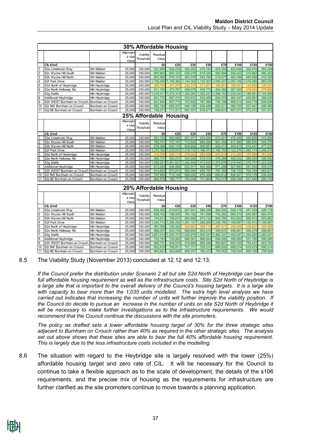|                |                                              |                   |                              | 30% Affordable Housing |                   |           |          |               |           |           |           |           |
|----------------|----------------------------------------------|-------------------|------------------------------|------------------------|-------------------|-----------|----------|---------------|-----------|-----------|-----------|-----------|
|                |                                              |                   | Alternativ<br>e Use<br>Value | Viability<br>Threshold | Residual<br>Value |           |          |               |           |           |           |           |
|                | $CIL$ $E/m2$                                 |                   |                              |                        | £0                | £25       | £35      | £50           | £70       | £100      | £125      | £150      |
|                | S2a Limebrook Way                            | Sth Maldon        | 25,000                       | 330,000                | 531,686           | 504,235   | 493,255  | 476,784       | 454,450   | 420,646   | 392.476   | 364,306   |
| $\overline{2}$ | S2c Wycke Hill South                         | Sth Maldon        | 25,000                       | 330,000                | 687,662           | 653,102   | 639,278  | 618,542       | 590,894   | 549.422   | 514,862   | 480,302   |
| 3              | S2b Wycke Hill North                         | Sth Maldon        | 25,000                       | 330,000                | 607,482           | 576,123   | 563,579  | 544,764       | 519,677   | 482,046   | 450,688   | 419,329   |
| 4              | S2f Park Drive                               | Sth Maldon        | 25,000                       | 330,000                | 1,193,459         | 1,158,383 | 144,353  | 1,123,307     | 1,095,247 | ,053,156  | 1,018,080 | 983,004   |
| 5              | S2d North of Heybridge                       | Nth Heybridge     | 25,000                       | 330,000                | 265,769           | 241,870   | 232,310  | 217,971       | 198,851   | 169,451   | 144,852   | 120,253   |
| 6              | S2e North Holloway Rd                        | Nth Heybridge     | 25,000                       | 330,000                | 511,739           | 473,767   | 458,578  | 435,773       | 404,392   | 357,320   | 318,093   | 278,866   |
| $\overline{7}$ | S <sub>2</sub> a Swifts                      | Nth Heybridge     | 25,000                       |                        | 330,000 1,415,411 | .370.319  | .352.282 | .325.227<br>1 | .289.153  | .235.043  | 1.189.951 | 1,144,859 |
| 8              | <b>Additional Heybridge</b>                  | Nth Heybridge     | 25,000                       | 330,000                | 601,770           | 567,415   | 553,672  | 533,059       | 505,574   | 464,347   | 429,991   | 395,635   |
| 9              | S2h WEST Burnham on Crouch Burnham on Crouch |                   | 25,000                       | 330,000                | 847,454           | 807,719   | 791,825  | 767,984       | 736,196   | 688,514   | 648,779   | 609,044   |
| 10             | S2i NW Burnham on Crouch                     | Burnham on Crouch | 25,000                       | 330,000                | 692,184           | 659,337   | 646,198  | 626,489       | 600,211   | 560,794   | 527,947   | 495,099   |
|                | 11 S2j NE Burnham on Crouch                  | Burnham on Crouch | 25,000                       | 330,000                | 746,271           | 711,471   | 697.551  | 676,671       | 648.831   | 607.071   | 572.272   | 537,472   |
|                | 25% Affordable Housing                       |                   |                              |                        |                   |           |          |               |           |           |           |           |
|                |                                              |                   |                              |                        |                   |           |          |               |           |           |           |           |
|                |                                              |                   | Alternativ<br>e Use<br>Value | Viability<br>Threshold | Residual<br>Value |           |          |               |           |           |           |           |
|                | CIL £/m2                                     |                   |                              |                        | £0                | £25       | £35      | £50           | £70       | £100      | £125      | £150      |
| 1              | S2a Limebrook Way                            | Sth Maldon        | 25,000                       | 330,000                | 591,720           | 562,685   | 551,071  | 533,650       | 510,421   | 475,455   | 445,659   | 415,864   |
| $\overline{2}$ | S2c Wycke Hill South                         | Sth Maldon        | 25,000                       | 330,000                | 763,701           | 727,147   | 712,525  | 690,592       | 661,349   | 617,484   | 580,930   | 544,376   |
| 3              | S2b Wycke Hill North                         | Sth Maldon        | 25,000                       | 330,000                | 676,288           | 643.119   | 629,852  | 609,951       | 583,417   | 543,615   | 510,447   | 477.278   |
| 4              | S2f Park Drive                               | Sth Maldon        | 25,000                       | 330,000                | .270,162          | 233,573   | ,218,733 | 196,473       | 1,166,793 | 1,122,274 | 1,085,174 | 1,048,075 |
| 5              | S2d North of Heybridge                       | Nth Heybridge     | 25,000                       | 330,000                | 314,393           | 289,114   | 279,003  | 263,836       | 243,614   | 213,280   | 187,664   | 161,646   |
| 6              | S2e North Holloway Rd                        | Nth Heybridge     | 25,000                       | 330,000                | 590,737           | 550,573   | 534,508  | 510,410       | 478,280   | 429,532   | 388,042   | 346,552   |
| $\overline{7}$ | S <sub>2</sub> g Swifts                      | Nth Heybridge     | 25,000                       | 330,000                | ,509,221          | ,461,527  | 442,449  | ,413,833<br>1 | 1,375,678 | 1,318,445 | ,270,751  | ,223,058  |
| 8              | Additional Heybridge                         | Nth Heybridge     | 25,000                       | 330,000                | 673,245           | 636,906   | 622,371  | 600,568       | 571,498   | 527,892   | 491,554   | 455,216   |
| 9              | S2h WEST Burnham on Crouch                   | Burnham on Crouch | 25,000                       | 330,000                | 914,842           | 872,815   | 856,004  | 830,787       | 797,165   | 746,732   | 704,704   | 662,677   |
| 10             | S2i NW Burnham on Crouch                     | Burnham on Crouch | 25,000                       | 330,000                | 747,892           | 713,149   | 699,252  | 678,406       | 650,612   | 608,921   | 574,178   | 539,435   |
| 11             | S2j NE Burnham on Crouch                     | Burnham on Crouch | 25.000                       | 330,000                | 805,579           | 768.77    | 754,048  | 731,964       | 702,517   | 658,348   | 621.540   | 584,733   |
|                |                                              |                   |                              |                        |                   |           |          |               |           |           |           |           |
|                |                                              |                   |                              | 20% Affordable Housing |                   |           |          |               |           |           |           |           |

|                |                                                |                   | Alternativ<br>e Usel<br>Valuel | Viability<br><b>Threshold</b> | Residual<br>Value   |          |          |          |         |                    |           |           |
|----------------|------------------------------------------------|-------------------|--------------------------------|-------------------------------|---------------------|----------|----------|----------|---------|--------------------|-----------|-----------|
|                | CIL £/m2                                       |                   |                                |                               | £O                  | £25      | £35      | £50      | £70     | £100               | £125      | £150      |
|                | S2a Limebrook Wav                              | Sth Maldon        | 25.000                         | 330,000                       | 650.462             | 619,875  | 607.641  | 589,289  | 564,820 | 528.116            | 497.529   | 528,116   |
| $\overline{2}$ | S2c Wycke Hill South                           | Sth Maldon        | 25.000                         | 330,000                       | 838.102             | 799.595  | 784.192  | 761,088  | 730.283 | 684.074            | 645.567   | 684,074   |
| 3              | S2b Wycke Hill North                           | Sth Maldon        | 25,000                         | 330,000                       | 743.613             | 708.672  | 694.696  | 673.732  | 645.780 | 603.852            | 568.912   | 603,852   |
| 4              | S2f Park Drive                                 | Sth Maldon        | 25.000                         | 330,000 1                     | .344.712 1          | ,306,458 | .291.157 | 268,060  |         | .236.795 1.189.897 | ,150,815  | 1,189,897 |
| 5              | S2d North of Heybridge                         | Nth Heybridge     | 25,000                         | 330,000                       | 361.359             | 335,342  | 324.691  | 308.714  | 287.411 | 255.456            | 228,827   | 255,456   |
| l6             | S2e North Holloway Rd                          | Nth Heybridge     | 25,000                         | 330,000                       | 668,037             | 625,728  | 608,804  | 583.419  | 549,572 | 498,801            | 456,479   | 498,801   |
|                | S <sub>2</sub> g Swifts                        | Nth Heybridge     | 25,000                         |                               | 330.000 1.601.014 1 | .550.773 | ,530,676 | .500,531 |         | 460,337 1,400,047  | 1,349,805 | 1,400,047 |
| l8             | Additional Heybridge                           | Nth Heybridge     | 25.000                         | 330,000                       | 743.183             | 704,903  | 689,591  | 666.624  | 636,000 | 590.065            | 551.785   | 590,065   |
| 9              | S2h WEST Burnham on Crouch   Burnham on Crouch |                   | 25.000                         | 330,000                       | 980.791             | 936.518  | 918,809  | 892.246  | 856,827 | 803.700            | 759,427   | 803,700   |
|                | 10 S2i NW Burnham on Crouch                    | Burnham on Crouch | 25.000                         | 330,000                       | 802.410             | 765,811  | 751.171  | 729.212  | 699,933 | 656,014            | 619,415   | 656,014   |
|                | 11 S2i NE Burnham on Crouch                    | Burnham on Crouch | 25,000                         | 330,000                       | 863.621             | 824,846  | 809.337  | 786.072  | 755.053 | 708.524            | 669,750   | 708,524   |

8.5 The Viability Study (November 2013) concluded at 12.12 and 12.13:

*If the Council prefer the distribution under Scenario 2 all but site S2d North of Heybridge can bear the full affordable housing requirement as well as the infrastructure costs. Site S2d North of Heybridge is a large site that is important to the overall delivery of the Council's housing targets. It is a large site with capacity to bear more than the 1,035 units modelled. The extra high level analysis we have carried out indicates that increasing the number of units will further improve the viability position. If the Council do decide to pursue an increase in the number of units on site S2d North of Heybridge it will be necessary to make further investigations as to the infrastructure requirements. We would recommend that the Council continue the discussions with the site promoters.*

*The policy as drafted sets a lower affordable housing target of 30% for the three strategic sites adjacent to Burnham on Crouch rather than 40% as required in the other strategic sites. The analysis set out above shows that these sites are able to bear the full 40% affordable housing requirement. This is largely due to the less infrastructure costs included in the modelling.*

8.6 The situation with regard to the Heybridge site is largely resolved with the lower (25%) affordable housing target and zero rate of CIL. It will be necessary for the Council to continue to take a flexible approach as to the scale of development, the details of the s106 requirements, and the precise mix of housing as the requirements for infrastructure are further clarified as the site promoters continue to move towards a planning application.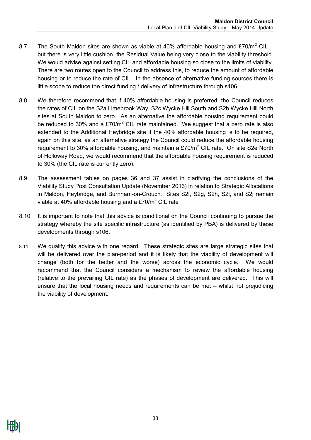- 8.7 The South Maldon sites are shown as viable at 40% affordable housing and £70/m<sup>2</sup> CIL but there is very little cushion, the Residual Value being very close to the viability threshold. We would advise against setting CIL and affordable housing so close to the limits of viability. There are two routes open to the Council to address this, to reduce the amount of affordable housing or to reduce the rate of CIL. In the absence of alternative funding sources there is little scope to reduce the direct funding / delivery of infrastructure through s106.
- 8.8 We therefore recommend that if 40% affordable housing is preferred, the Council reduces the rates of CIL on the S2a Limebrook Way, S2c Wycke Hill South and S2b Wycke Hill North sites at South Maldon to zero. As an alternative the affordable housing requirement could be reduced to 30% and a  $£70/m<sup>2</sup>$  CIL rate maintained. We suggest that a zero rate is also extended to the Additional Heybridge site if the 40% affordable housing is to be required, again on this site, as an alternative strategy the Council could reduce the affordable housing requirement to 30% affordable housing, and maintain a  $£70/m<sup>2</sup>$  CIL rate. On site S2e North of Holloway Road, we would recommend that the affordable housing requirement is reduced to 30% (the CIL rate is currently zero).
- 8.9 The assessment tables on pages 36 and 37 assist in clarifying the conclusions of the Viability Study Post Consultation Update (November 2013) in relation to Strategic Allocations in Maldon, Heybridge, and Burnham-on-Crouch. Sites S2f, S2g, S2h, S2i, and S2j remain viable at 40% affordable housing and a £70/ $m^2$  CIL rate
- 8.10 It is important to note that this advice is conditional on the Council continuing to pursue the strategy whereby the site specific infrastructure (as identified by PBA) is delivered by these developments through s106.
- 8.11 We qualify this advice with one regard. These strategic sites are large strategic sites that will be delivered over the plan-period and it is likely that the viability of development will change (both for the better and the worse) across the economic cycle. We would recommend that the Council considers a mechanism to review the affordable housing (relative to the prevailing CIL rate) as the phases of development are delivered. This will ensure that the local housing needs and requirements can be met – whilst not prejudicing the viability of development.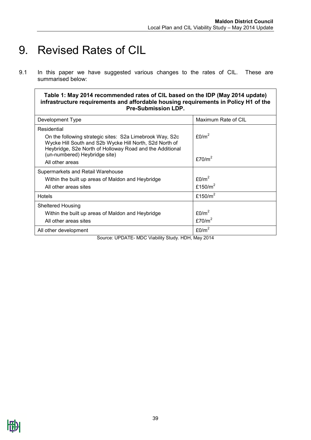### <span id="page-38-0"></span>9. Revised Rates of CIL

9.1 In this paper we have suggested various changes to the rates of CIL. These are summarised below:

**Table 1: May 2014 recommended rates of CIL based on the IDP (May 2014 update) infrastructure requirements and affordable housing requirements in Policy H1 of the Pre-Submission LDP.**

| Development Type                                                                                                                                                                | Maximum Rate of CIL |
|---------------------------------------------------------------------------------------------------------------------------------------------------------------------------------|---------------------|
| Residential                                                                                                                                                                     |                     |
| On the following strategic sites: S2a Limebrook Way, S2c<br>Wycke Hill South and S2b Wycke Hill North, S2d North of<br>Heybridge, S2e North of Holloway Road and the Additional | £0/m <sup>2</sup>   |
| (un-numbered) Heybridge site)                                                                                                                                                   | £70/ $m2$           |
| All other areas                                                                                                                                                                 |                     |
| Supermarkets and Retail Warehouse                                                                                                                                               |                     |
| Within the built up areas of Maldon and Heybridge                                                                                                                               | E0/m <sup>2</sup>   |
| All other areas sites                                                                                                                                                           | £150/ $m2$          |
| Hotels                                                                                                                                                                          | £150/ $m2$          |
| Sheltered Housing                                                                                                                                                               |                     |
| Within the built up areas of Maldon and Heybridge                                                                                                                               | £0/m <sup>2</sup>   |
| All other areas sites                                                                                                                                                           | £70/ $m2$           |
| All other development                                                                                                                                                           | E0/m <sup>2</sup>   |

Source: UPDATE- MDC Viability Study. HDH, May 2014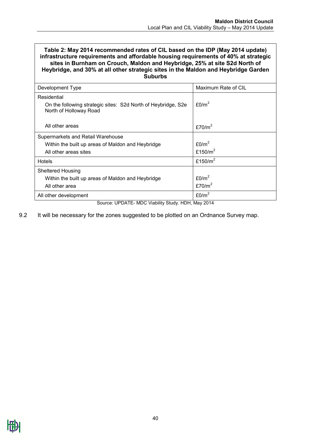#### **Table 2: May 2014 recommended rates of CIL based on the IDP (May 2014 update) infrastructure requirements and affordable housing requirements of 40% at strategic sites in Burnham on Crouch, Maldon and Heybridge, 25% at site S2d North of Heybridge, and 30% at all other strategic sites in the Maldon and Heybridge Garden Suburbs**

| Development Type                                                                        | Maximum Rate of CIL |
|-----------------------------------------------------------------------------------------|---------------------|
| Residential                                                                             |                     |
| On the following strategic sites: S2d North of Heybridge, S2e<br>North of Holloway Road | £0/m <sup>2</sup>   |
|                                                                                         |                     |
| All other areas                                                                         | £70/ $m2$           |
| Supermarkets and Retail Warehouse                                                       |                     |
| Within the built up areas of Maldon and Heybridge                                       | E0/m <sup>2</sup>   |
| All other areas sites                                                                   | £150/ $m2$          |
| <b>Hotels</b>                                                                           | £150/ $m2$          |
| <b>Sheltered Housing</b>                                                                |                     |
| Within the built up areas of Maldon and Heybridge                                       | £0/m <sup>2</sup>   |
| All other area                                                                          | £70/ $m2$           |
|                                                                                         |                     |
| All other development                                                                   | £0/ $m^2$           |

Source: UPDATE- MDC Viability Study. HDH, May 2014

#### 9.2 It will be necessary for the zones suggested to be plotted on an Ordnance Survey map.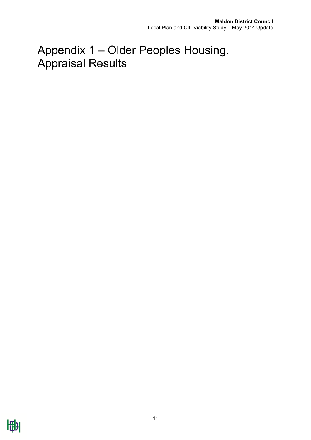## <span id="page-40-0"></span>Appendix 1 – Older Peoples Housing. Appraisal Results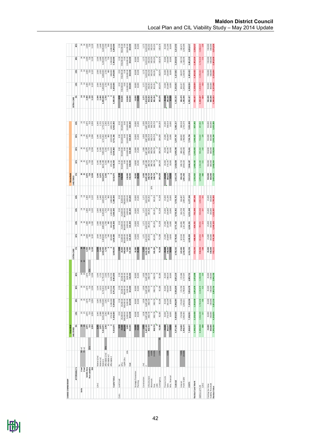|                       |                          |            | Greenfield<br>SHELTERED                                   |                       |                                                              |                                            |                                         |                             |                           |                                                                    |                      |                                                                  | Brownfield                      |                                                            |                                                                    |                                                        |                                                        |                    |                        |                          |                                                                  |                  |
|-----------------------|--------------------------|------------|-----------------------------------------------------------|-----------------------|--------------------------------------------------------------|--------------------------------------------|-----------------------------------------|-----------------------------|---------------------------|--------------------------------------------------------------------|----------------------|------------------------------------------------------------------|---------------------------------|------------------------------------------------------------|--------------------------------------------------------------------|--------------------------------------------------------|--------------------------------------------------------|--------------------|------------------------|--------------------------|------------------------------------------------------------------|------------------|
|                       |                          |            |                                                           |                       |                                                              |                                            |                                         | EXTRA-CARE                  |                           |                                                                    |                      |                                                                  | SHELTERED                       |                                                            |                                                                    |                                                        |                                                        | EXTRA-CARE         |                        |                          |                                                                  |                  |
| AFFORDABLE %          |                          |            | ŏ,                                                        | 10%                   | 20%                                                          | 30%                                        | 40%                                     | ఠ                           | 10%                       | 20%                                                                | 30%                  | $rac{8}{4}$                                                      | క                               | 10%                                                        | ă                                                                  | 30%                                                    | 40%                                                    | క                  | 10%                    | ă                        | 30%                                                              | \$               |
| Units                 | 50 m2<br>75 m2<br>1 bed  |            |                                                           |                       |                                                              |                                            |                                         | 58                          |                           |                                                                    |                      |                                                                  |                                 |                                                            |                                                                    |                                                        |                                                        |                    |                        |                          |                                                                  |                  |
|                       | 2 bed                    |            |                                                           | 25                    |                                                              | $\begin{array}{r} 20 \\ 2,875 \end{array}$ | <b>25</b>                               |                             |                           |                                                                    |                      |                                                                  |                                 |                                                            |                                                                    |                                                        |                                                        |                    |                        |                          |                                                                  | 24               |
| Saleble Area          |                          |            |                                                           |                       |                                                              |                                            | 2,875                                   |                             |                           |                                                                    |                      |                                                                  |                                 |                                                            |                                                                    |                                                        |                                                        |                    |                        |                          |                                                                  | 2,400            |
| Non-saleable          |                          | <b>25%</b> | $\begin{array}{c} 88 \\ 235 \\ 335 \\ 335 \\ \end{array}$ | 2,875<br>719<br>3,594 | $\begin{array}{r} 20 \\ 2,875 \\ 7,994 \\ 3,994 \end{array}$ | 719<br>3,594                               | Ş<br>719                                |                             |                           | $\begin{array}{r} 34 \\ 16 \\ 2,400 \\ 7,120 \\ 3,130 \end{array}$ |                      | $\begin{array}{r} 24 \\ 16 \\ 2,400 \\ 720 \\ 3,120 \end{array}$ | <b>22.875</b><br>2,875<br>3,594 | $\begin{array}{r} 208 \\ 208 \\ 208 \\ 309 \\ \end{array}$ | $\begin{array}{c}\n 8 \\ 2 \\ 8 \\ 7 \\ 8 \\ 9 \\ 3\n \end{array}$ | $\begin{array}{r} 28 \\ 28 \\ 19 \\ 35 \\ \end{array}$ | $\begin{array}{r} 28 \\ 28 \\ 12 \\ 39 \\ \end{array}$ |                    |                        |                          | $\begin{array}{r} 34 \\ 34 \\ 240 \\ 120 \\ 3120 \\ \end{array}$ | 720<br>3,120     |
|                       | GIA                      |            |                                                           |                       |                                                              |                                            | 594                                     |                             |                           |                                                                    |                      |                                                                  |                                 |                                                            |                                                                    |                                                        |                                                        |                    |                        |                          |                                                                  |                  |
| £/m2                  | Market £/m2              |            |                                                           |                       |                                                              | 3,345                                      | 3,345                                   |                             |                           |                                                                    |                      | 2,500                                                            | 3,345                           | 3,345                                                      | 3,345                                                              |                                                        |                                                        |                    |                        |                          |                                                                  | 2,500            |
|                       | Market m2                |            | 3,345                                                     | 3,345<br>2,588        | 3,345                                                        | 2,013                                      |                                         | 2,500<br>2,400              | 2,500<br>2,160            | 2,500<br>1,920                                                     | 2,500<br>1,680       | 1,440                                                            | 2,875                           | 2,588                                                      | 2,300                                                              | 3,345                                                  | 3,345                                                  | 2,500<br>2,400     | 2,500<br>2,160         | 2,500<br>1,920           | 2,500<br>1,680                                                   | 1,440            |
|                       | Market £                 |            | 9,616,875                                                 | 8,655,188             | 7,693,500                                                    | 6,731,813                                  | $1.725$<br>5,770,125                    | 6,000,000                   |                           | 4,800,000                                                          | 4,200,000            | 3,600,000                                                        | 9,616,875                       | 8,655,188                                                  | 7,693,500                                                          | 6,731,813                                              | 5,770,125                                              | 6,000,000          | 5,400,000              | 1,800,000                | 4,200,000                                                        | 3,600,000        |
|                       | Affordable E/m2          | 70%        | 2,342                                                     | 2,342                 | 2,342                                                        | 2,342                                      | 2,342                                   | 1,750                       |                           | 1,750                                                              | 1,750                | 1,750                                                            | 2,342                           | 2,342                                                      | 2,342                                                              | 2,342                                                  | 2,342                                                  | 1,750              | 1,750                  | 1,750                    | 1,750                                                            | 1,750            |
|                       | Affordable <sub>m2</sub> |            | $\bullet$                                                 | 288                   | 575                                                          | 863                                        | 1,150                                   | $\circ$                     | 5,400,000<br>1,750<br>240 | 480                                                                | 720                  | 960                                                              |                                 | 288                                                        | 575                                                                | 863                                                    | 1,150                                                  |                    | 240                    | 80                       | 720                                                              | 960              |
|                       | Affordable £             |            | $\circ$                                                   | 673,181               | 1,346,363                                                    | 2,019,544                                  | 2,692,725                               | $\circ$                     | 420,000                   | 840,000                                                            | 1,260,000            | 1,680,000                                                        |                                 | 673,181                                                    | 1,346,363                                                          | 2,019,544                                              | 2,692,725                                              |                    | 420,000                | 840,000                  | 1,260,000                                                        | 1,680,000        |
| Capital Value         |                          |            | 9,616,875                                                 | 9,328,369             | 9,039,863                                                    | 8,751,356                                  | 8,462,850                               | 6,000,000                   | 5,820,000                 | 5,640,000                                                          | 5,460,000            | 5,280,000                                                        | 9,616,875                       | 9,328,369                                                  | 9,039,863                                                          | 8,751,356                                              | 8,462,850                                              | 5,000,000          | 5,820,000              | 5,640,000                | 5,460,000                                                        | 5,280,000        |
| Land Used<br>Costs    | œ                        |            |                                                           | 0.50                  | 0.50                                                         | 0.50                                       |                                         |                             | 0.50                      | 0.50                                                               | 0.50                 | 0.50                                                             |                                 | 0.50                                                       | 0.50                                                               | 0.50                                                   |                                                        |                    | 0.50                   | 0.50                     | 0.50                                                             | 0.50             |
|                       | £/ha                     |            |                                                           | 25,000.00             | 25,000.00                                                    | 25,000.00                                  | $0.50$<br>25,000.00                     | 0.50<br>25,000<br>300,000   | 25,000.00                 | 25,000.00                                                          | 25,000.00            | 25,000.00                                                        | 0.50<br>S50,000                 | 550,000.00                                                 | 550,000.00                                                         | 550,000.00                                             | 0.50<br>S50,000.00                                     | 0.50<br>SS0,000    | 550,000.00             | 550,000.00               | 550,000.00                                                       | 550,000.00       |
|                       | Uplift £/ha              |            |                                                           | 300,000.00            | 300,000.00                                                   | 300,000.00                                 |                                         |                             | 300,000.00                | 300,000.00                                                         | 300,000.00           | 300,000.00                                                       |                                 | 0.00                                                       | 0.00                                                               | 0.00                                                   | 0.00                                                   |                    | 0.00                   | 0.00                     | 0.00                                                             | 0.00             |
|                       | 20%                      |            |                                                           | 5,000.00              | 5,000.00                                                     | 5,000.00                                   |                                         | 5,000                       | 5,000.00                  | 5,000.00                                                           | 5,000.00             | 5,000.00                                                         |                                 | 110,000.00                                                 | 110,000.00                                                         | 110,000.00                                             | 110,000.00                                             |                    | 110,000.00             | 110,000.00               | 110,000.00                                                       | 110,000.00       |
|                       | Cost                     |            | 0.50<br>25,000<br>30,000<br>5,000<br>165,000              | 165,000               | 165,000                                                      | 165,000                                    | $300,000.00$<br>$5,000.00$<br>$165,000$ | 165,000                     | 165,000                   | 165,000                                                            | 165,000              | 165,000                                                          | 110,000<br>330,000              | 330,000                                                    | 330,000                                                            | 330,000                                                | 330,000                                                | 110,000<br>330,000 | 330,000                | 330,000                  | 330,000                                                          | 330,000          |
|                       |                          |            |                                                           |                       |                                                              |                                            |                                         |                             |                           |                                                                    |                      |                                                                  |                                 |                                                            |                                                                    |                                                        |                                                        |                    |                        |                          |                                                                  |                  |
| Strategic Promotion   |                          |            | 10,000<br>25,000                                          | $10,000$<br>25,000    | 10,000<br>25,000                                             | $10,000$<br>25,000                         | $10,000$<br>25,000                      | 10,000                      | 10,000                    | 10,000                                                             | 10,000               | 10,000                                                           | 10,000<br>25,000                | 10,000                                                     | 10,000                                                             | 10,000                                                 | 10,000                                                 | 10,000<br>25,000   | 10,000<br>25,000       | 10,000<br>25,000         | 10,000<br>25,000                                                 | 10,000<br>25,000 |
| Pla nning             |                          |            |                                                           |                       |                                                              |                                            |                                         |                             |                           |                                                                    |                      |                                                                  |                                 |                                                            |                                                                    |                                                        |                                                        |                    |                        |                          |                                                                  |                  |
| Construction          | /m <sub>2</sub>          |            | 1,026                                                     | 1,026                 | 1,026                                                        | 1,026                                      |                                         | 1,171                       | 1,171                     | 1,171                                                              | 1,171                | 1,171                                                            | 1,026                           | 1,026                                                      | 1,026                                                              | 1,026                                                  | 1,026                                                  | 1,171              | 1,171                  | 1,171                    | 1,171                                                            | 1,171            |
|                       | $\ddot{ }$               |            | 3,687,188                                                 | 3,687,188             | 3,687,188                                                    | 3,687,188                                  | 1,026<br>3,687,188                      | 3,653,520                   | 3,653,520                 | 3,653,520                                                          | 3,653,520            | 3,653,520                                                        | 3,687,188                       | 3,687,188                                                  | 3,687,188                                                          | 3,687,188                                              | 3,687,188                                              | 3,653,520          | 3,653,520              | 3,653,520                | 3,653,520                                                        | 8,653,520        |
| Infrastructure        |                          |            | 368,719                                                   | 368,719               | 368,719                                                      | 368,719                                    | 368,719                                 | 365,352                     | 365,352                   | 365,352                                                            | 365,352              | 365,352                                                          | 368,719                         | 368,719                                                    | 368,719                                                            | 368,719                                                | 368,719                                                | 365,352            | 365,352                | 365,352                  | 365,352                                                          | 365,352          |
| Abnomals              | 10.00%<br>0.00%          |            | $\circ$                                                   | $\circ$               | $\circ$                                                      |                                            | $\circ$                                 | $\circ$                     | $\circ$                   | $\circ$                                                            | $\circ$              | 10%<br>$\circ$                                                   | 368,719                         | 368,719                                                    | 368,719                                                            | 368,719                                                | 368,719                                                | 365,352            | 365,352                | 365,352                  | 365,352                                                          | 365,352          |
| Fees                  | 10.00%                   |            | 368,719                                                   | 368,719               | 368,719                                                      | 368,719                                    | 368,719                                 | 365,352                     | 365,352                   | 365,352                                                            | 365,352              | 365,352                                                          | 368,719                         | 368,719                                                    | 368,719                                                            | 368,719                                                | 368,719                                                | 365,352            | 365,352                | 365,352                  | 365,352                                                          | 365,352          |
| s106                  |                          |            | $\circ$                                                   |                       | $\circ$                                                      | $\overline{\phantom{a}}$                   | $\circ$                                 |                             |                           | $\circ$                                                            | c                    | $\circ$                                                          | $\overline{\phantom{a}}$        | $\circ$                                                    | $\circ$                                                            | $\circ$                                                | $\circ$                                                |                    | $\circ$                | $\overline{\phantom{a}}$ | $\circ$                                                          |                  |
| Contingency           | 2.50%                    | 5%         | 92,180                                                    | 92,180                | 92,180                                                       | 92,180                                     | 92,180                                  | 91,338                      | 91,338                    | 91,338                                                             | 91,338               | 91,338                                                           | 184,359                         | 184,359                                                    | 184,359                                                            | 184,359                                                | 184,359                                                | 182,676            | 182,676                | 182,676                  | 182,676                                                          | 182,676          |
| Finance Costs         |                          |            |                                                           | 25,000                | 25,000                                                       | 25,000                                     | 25,000                                  |                             |                           |                                                                    | 25,000               | 25,000                                                           |                                 |                                                            |                                                                    |                                                        | 25,000                                                 |                    | 25,000                 |                          |                                                                  | 25,000           |
| Sales                 | 4.00%                    |            | 25,000<br>384,675                                         | 373, 135              | 361,595                                                      | 350,054                                    | 338,514                                 | 25,000<br>240,000<br>10,000 | 25,000<br>232,800         | 25,000                                                             | 218,400              | 211,200                                                          | 25,000<br>384,675<br>10,000     | 25,000<br>373,135                                          | 25,000<br>361,595                                                  | 25,000<br>350,054                                      | 338,514                                                | 25,000             | 232,800                | 25,000                   | 25,000                                                           | 211,200          |
| Misc. Financial       |                          |            | 10,000                                                    | 10,000                | 10,000                                                       | 10,000                                     | 10,000                                  |                             | 10,000                    | 10,000                                                             | 10,000               | 10,000                                                           |                                 | 10,000                                                     | 10,000                                                             | 10,000                                                 | 10,000                                                 | 10,000             | 10,000                 | 10,000                   | 10,000                                                           | 10,000           |
| Subtotal              |                          |            | 4,971,480                                                 | 4,959,939             | 4,948,399                                                    | 4,936,859                                  | 4,925,319                               | 4,785,562                   | 4,778,362                 | 4,771,162                                                          | 4,763,962            | 4,756,762                                                        | 5,432,378                       | 5,420,838                                                  | 5,409,298                                                          | 5,397,757                                              | 5,386,217                                              | 5,242,252          | 5,235,052              | 5,227,852                | 5,220,652                                                        | 5,213,452        |
| Interest              | 7.00%                    |            |                                                           | 173,598               | 173,194                                                      | 172,790                                    | 172,386                                 | 167,495                     | 167,243                   | 166,991                                                            | 166,739              | 166,487                                                          | 190,133                         |                                                            | 189,325                                                            |                                                        | 188,518                                                | 183,479            | 183,227                | 182,975                  | 182,723                                                          | 182,471          |
| Profit % GDV          | 20.00%                   |            | 174,002<br>1,958,175                                      | 1,900,393             | 1,842,611                                                    | 1,784,829                                  | 1,727,047                               | ,233,499                    | 1,197,449                 | 1,161,398                                                          | 1,125,348            | 1,089,297                                                        | 1,961,402                       | 189,729<br>1,903,620                                       | 845,838                                                            | 188,922<br>1,788,056                                   | 1,730,274                                              | 1,236,696          | 1,200,645              | 1,164,595                | 1,128,545                                                        | 1,092,494        |
|                       |                          |            |                                                           |                       |                                                              |                                            |                                         |                             |                           |                                                                    |                      |                                                                  |                                 |                                                            |                                                                    |                                                        |                                                        |                    |                        |                          |                                                                  |                  |
| COSTS                 |                          |            | 7,268,657                                                 | 7,198,931             | 7,129,204                                                    | 7,059,478                                  | 6,989,752                               | 6,351,556                   | 6,308,053                 | 6,264,551                                                          | 6,221,048            | 6,177,546                                                        | 7,913,913                       | 7,844,187                                                  | 7,774,461                                                          | 7,704,734                                              | 7,635,008                                              | 6,992,427          | 6,948,924              | 6,905,422                | 6,861,919                                                        | 6,818,417        |
| Residual Land Worth   |                          |            | 2,348,218                                                 | 2,129,438             | 1,910,658                                                    | 1,691,878                                  | 3,098<br>1,47                           | 351,556                     | 488,053                   | -624,551                                                           | $-761,048$           | -897,546                                                         | 1,702,962                       | 1,484,182                                                  | 1,265,402                                                          | 1,046,622                                              | 827,842                                                | $-992,427$         | $-1,128,924$           | $-1,265,422$             | $-1,401,919$                                                     | $-1,538,417$     |
| Additional Profit     |                          |            |                                                           |                       |                                                              |                                            |                                         |                             |                           |                                                                    |                      |                                                                  |                                 |                                                            |                                                                    |                                                        |                                                        |                    |                        |                          |                                                                  |                  |
|                       |                          |            | 2,183,218                                                 | 1,964,438             | 1,745,658<br>486                                             | 1,526,878<br>425                           | 1,308,098                               | -516,556<br>-166            | -653,053                  | $-789,551$<br>$-253$                                               | $-926,048$<br>$-297$ | $-1,062,546$<br>$-341$                                           | 1,372,962<br>382                | 1,154,182<br>321                                           | 935,402                                                            | 716,622<br>199                                         | 497,842<br>139                                         | $-1, 322, 427$     | $-1,458,924$<br>$-468$ | $-1,595,422$<br>$-511$   | $-1,731,919$                                                     | 1,868,417        |
| £/m2                  |                          |            |                                                           |                       |                                                              |                                            | $\frac{3}{20}$                          |                             |                           |                                                                    |                      |                                                                  |                                 |                                                            |                                                                    |                                                        |                                                        |                    |                        |                          |                                                                  |                  |
| Existing Use Value    |                          |            |                                                           | 25,000                | 25,000                                                       | 25,000                                     |                                         |                             |                           |                                                                    | 25,000               | 25,000                                                           | 550,000                         | 550,000                                                    | 550,000                                                            | 550,000                                                | 550,000                                                | 550,000            | 550,000                | 550,000                  |                                                                  | 550,000          |
| Viability Threshold   |                          |            | 25,000<br>330,000                                         | 330,000               | 330,000                                                      | 330,000                                    | 25,000<br>330,000                       | 25,000<br>330,000           | 25,000<br>330,000         | 25,000<br>330,000                                                  | 330,000              | 330,000                                                          | 660,000                         | 660,000                                                    | 660,000                                                            | 660,000                                                | 660,000                                                | 660,000            | 660,000                | 660,000                  | 550,000                                                          | 660,000          |
| <b>Residual Value</b> |                          |            | 4,696,436                                                 | 4,258,876             | 3,821,316                                                    | 3,383,756                                  | 2,946,196                               | -703,111                    | -976,106                  | $-1,249,102$                                                       | $-1,522,097$         | $-1,795,092$                                                     | 3,405,924                       | 2,968,364                                                  | 2,530,804                                                          | 2,093,244                                              | 1,655,684                                              | $-1,984,853$       | $-2,257,848$           | $-2,530,844$             | $-2,803,839$                                                     | $-3,076,834$     |

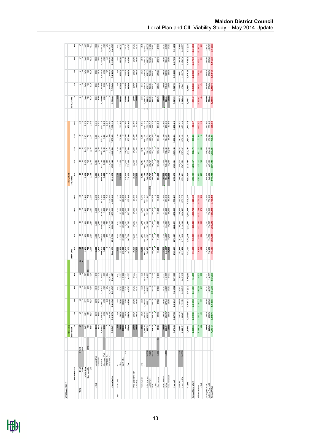| AFFORDABLE RENT                       |                 |                                                             |                                    |                    |                                                            |                                    |                                                          |                                               |                             |                      |                   |                         |                                |                                                            |                                                        |                    |                                                                                                       |                                                     |                         |                    |                                                                                                             |                         |
|---------------------------------------|-----------------|-------------------------------------------------------------|------------------------------------|--------------------|------------------------------------------------------------|------------------------------------|----------------------------------------------------------|-----------------------------------------------|-----------------------------|----------------------|-------------------|-------------------------|--------------------------------|------------------------------------------------------------|--------------------------------------------------------|--------------------|-------------------------------------------------------------------------------------------------------|-----------------------------------------------------|-------------------------|--------------------|-------------------------------------------------------------------------------------------------------------|-------------------------|
|                                       |                 |                                                             | Greenfield<br>SHELTERED            |                    |                                                            |                                    |                                                          | EXTRA-CARE                                    |                             |                      |                   |                         | Brownfield<br><b>SHELTERED</b> |                                                            |                                                        |                    |                                                                                                       | EXTRA-CARE                                          |                         |                    |                                                                                                             |                         |
|                                       |                 |                                                             |                                    |                    |                                                            |                                    |                                                          | š                                             |                             |                      |                   |                         |                                |                                                            |                                                        |                    | 40%                                                                                                   | š                                                   |                         |                    |                                                                                                             |                         |
| AFFORDABLE %                          |                 |                                                             | 0%                                 |                    | 20%<br>10%                                                 | 30%                                | 40%                                                      |                                               | 10%                         | 20%                  | 30%               | 40%                     | š                              | 10%                                                        | 20%                                                    | 30%                |                                                                                                       |                                                     | 10%                     | 20%                | 30%                                                                                                         | ğ,                      |
| Units                                 | 1 bed           |                                                             |                                    |                    |                                                            |                                    |                                                          |                                               |                             |                      |                   |                         |                                |                                                            |                                                        |                    |                                                                                                       |                                                     |                         |                    |                                                                                                             |                         |
|                                       | 2 bed           | $\frac{50}{75}$ m <sup>2</sup>                              | <b>25</b>                          |                    | $\begin{array}{r} 20 \\ 2,875 \\ 7,39 \end{array}$         | 20                                 |                                                          | <b>SS</b>                                     |                             |                      |                   |                         |                                |                                                            |                                                        |                    |                                                                                                       |                                                     |                         |                    |                                                                                                             | $^{24}$                 |
|                                       | Saleble Area    |                                                             |                                    |                    |                                                            |                                    |                                                          |                                               |                             |                      |                   |                         |                                |                                                            |                                                        |                    |                                                                                                       |                                                     |                         |                    |                                                                                                             |                         |
|                                       | Non-saleable    | 25%                                                         | 2,875<br>719<br>3,594              |                    | $\begin{array}{r} 208 \\ 208 \\ 187 \\ 394 \\ \end{array}$ | 2,875<br>719<br>3,594              | $\frac{8}{3}$<br>$\frac{8}{3}$<br>$\frac{1}{3}$<br>3.594 |                                               |                             |                      |                   |                         |                                | $\begin{array}{r} 208 \\ 208 \\ 109 \\ 309 \\ \end{array}$ | $\begin{array}{r} 28 \\ 28 \\ 12 \\ 39 \\ \end{array}$ | $\frac{285}{287}$  | $\begin{array}{c c}\n 8 & 12 \\ 2 & 12 \\ \hline\n 1 & 12 \\ \hline\n 3 & 12 \\ 3 & 54\n \end{array}$ | $x + 6$<br>$x + 6$<br>$y + 6$<br>$z + 6$<br>$z + 6$ |                         |                    | $\begin{array}{c c} x & x & y \\ x & y & z \\ y & x & z \\ y & z & z \\ y & z & z \\ z & z & z \end{array}$ | 2,400<br>720<br>3,120   |
|                                       | ã               |                                                             |                                    |                    | 3,594                                                      |                                    |                                                          |                                               |                             |                      |                   |                         |                                |                                                            |                                                        |                    |                                                                                                       |                                                     |                         |                    |                                                                                                             |                         |
| £/m2                                  | Market £/m2     |                                                             |                                    |                    |                                                            |                                    |                                                          |                                               |                             |                      |                   |                         |                                |                                                            |                                                        |                    |                                                                                                       |                                                     |                         |                    |                                                                                                             | 2,500                   |
|                                       | Market m2       |                                                             | 3,345                              |                    | 3, 345<br>3, 345<br>2, 588                                 | 3, 345                             | $3,345$<br>$1,725$                                       | 2,500<br>2,400                                | 2,500<br>2,160              | 2,500<br>1,920       | 2,500<br>1,680    | 2,500<br>1,440          | 3, 345<br>2, 875               | 3, 345<br>2, 588                                           | 3,345                                                  | 3,345              | 3,345                                                                                                 | 2,500<br>2,400                                      | 2,500<br>2,160          | 2,500<br>1,920     | 2,500<br>1,680                                                                                              | 1,440                   |
|                                       | Market £        |                                                             | 9,616,875                          | 8,655,188          | 7,693,500                                                  | 6,731,813                          | 5,770,125                                                |                                               | 5,400,000                   | ,800,000             | 4,200,000         | 3,600,000               | 9,616,875                      |                                                            | 7,693,500                                              | 6,731,813          | 5,770,125                                                                                             | 6,000,000                                           | 5,400,000               | 4,800,000          | 1,200,000                                                                                                   | 3,600,000               |
|                                       | Affordable £/m2 |                                                             | 1,300                              | 1,300              |                                                            | 1,300                              | $1,300$                                                  | 6,000,000<br>1,300                            |                             | 1,300                | 1,300             | 1,300                   | 1,300                          |                                                            |                                                        | 1,300              | 1,300                                                                                                 | 1,300                                               | 1,300                   | 1,300              | 1,300                                                                                                       | 1,300                   |
|                                       | Affordable m2   |                                                             |                                    |                    | 1,300<br>575<br>288                                        | 863                                |                                                          |                                               | $1,300$<br>$240$            | 480                  | 720               | 960                     |                                | 8,655,188<br>1,300<br>288                                  | 1,300<br>575                                           | 863                | 1,150                                                                                                 |                                                     | 240                     | 80                 | 720                                                                                                         | 960                     |
|                                       | Affordable £    |                                                             |                                    | 373,750            | 747,500                                                    | 1,121,250                          | 1,150<br>1,495,000<br><b>7,265,125</b>                   |                                               | 312,000                     | 624,000              | 936,000           | 1,248,000               |                                | 373,750                                                    | 747,500                                                | 1,121,250          | 1,495,000                                                                                             |                                                     | 312,000                 | 624,000            | 936,000                                                                                                     | 1,248,000               |
| Capital Value                         |                 |                                                             | 9,616,875                          | 9,028,938          | 8,441,000                                                  | 7,853,063                          |                                                          | 6,000,000                                     | 5,712,000                   | 5,424,000            | 5,136,000         | 4,848,000               | 9,616,875                      | 9,028,938                                                  | 8,441,000                                              | 7,853,063          | 7,265,125                                                                                             | 6,000,000                                           | 5,712,000               | 5,424,000          | 5,136,000                                                                                                   | 4,848,000               |
| Land Used<br>Costs                    | 2               |                                                             |                                    |                    |                                                            |                                    |                                                          |                                               |                             |                      |                   |                         |                                |                                                            |                                                        |                    |                                                                                                       |                                                     |                         |                    |                                                                                                             | 0.50                    |
|                                       | £/ha            |                                                             |                                    | 0.50<br>25,000     |                                                            |                                    | 0.50<br>25,000                                           |                                               | 0.50<br>25,000              | 0.50<br>25,000       | 0.50<br>25,000    | 0.50<br>25,000          | 0.50<br>S50,000                | 0.50<br>0.50                                               | 0.50<br>0.50                                           | 0.50<br>0.50       | 0.50<br>02.0                                                                                          | 0.50<br>03.0,000                                    | 0.50<br>0.50            | 0.50<br>0.50       | 0.50<br>S50,000                                                                                             | 550,000                 |
|                                       | Uplift £/ha     |                                                             |                                    | 300,000            |                                                            |                                    |                                                          |                                               |                             |                      | 300,000           | 300,000                 |                                |                                                            | $\circ$                                                | $\circ$            |                                                                                                       |                                                     |                         |                    |                                                                                                             |                         |
|                                       |                 | 20%                                                         | 0.50<br>25,000<br>300,000<br>5,000 | 5,000              | 0.50<br>25,000<br>300,000<br>5,000                         | 0.50<br>25,000<br>300,000<br>5,000 | 300,000<br>5,000<br>165,000                              | 0.50<br>25,000<br>300,000<br>35,000<br>35,000 | 300,000<br>5,000<br>165,000 | 300,000              | 5,000             |                         |                                |                                                            |                                                        |                    |                                                                                                       |                                                     |                         |                    |                                                                                                             | 110,000                 |
|                                       | Cost            |                                                             | 165,000                            | 165,000            | 165,000                                                    | 165,000                            |                                                          |                                               |                             | 165,000              | 165,000           | 5,000<br>165,000        | 110,000<br>330,000             | 110,000<br>330,000                                         | 110,000<br>330,000                                     | 110,000<br>330,000 | 110,000<br>330,000                                                                                    | 110,000<br>330,000                                  | 110,000<br>330,000      | 110,000<br>330,000 | 110,000<br>330,000                                                                                          | 330,000                 |
|                                       |                 |                                                             |                                    |                    |                                                            |                                    |                                                          |                                               |                             |                      |                   |                         |                                |                                                            |                                                        |                    |                                                                                                       |                                                     |                         |                    |                                                                                                             |                         |
| Strategic Promotion                   |                 |                                                             | 10,000<br>25,000                   | $10,000$<br>25,000 | $10,000$<br>25,000                                         | $10,000$<br>$25,000$               | 10,000                                                   | 10,000<br>25,000                              | 10,000                      | 10,000               | 10,000            | 10,000                  | 10,000<br>25,000               | 10,000                                                     | 10,000                                                 | 10,000             | 10,000                                                                                                | 10,000<br>25,000                                    | 10,000                  | 10,000             | 10,000                                                                                                      | 10,000                  |
| Planning                              |                 |                                                             |                                    |                    |                                                            |                                    |                                                          |                                               |                             |                      |                   |                         |                                |                                                            |                                                        |                    |                                                                                                       |                                                     |                         |                    |                                                                                                             |                         |
| Construction                          | /m <sub>2</sub> |                                                             | 1,026                              | 1,026              | 1,026                                                      | 1,026                              |                                                          |                                               | $1.171$                     | 1,171                | 1,171             | 1,171                   | 1,026                          | 1,026                                                      | 1,026                                                  | 1,026              | 1,026                                                                                                 | 1,171                                               | 1,1.71                  | 1,1.71             | 1,171                                                                                                       | 1,171                   |
|                                       |                 |                                                             | 3,687,188                          | 3,687,188          | 3,687,188                                                  | 3,687,188                          | 1,026<br>3,687,188                                       | 1,171<br>3,653,520                            |                             |                      | 3,653,520         | 3,653,520               | 3,687,188                      | 3,687,188                                                  | 3,687,188                                              | 3,687,188          | 3,687,188                                                                                             |                                                     | 3,653,520               | 3,653,520          | 3,653,520                                                                                                   | 3,653,520               |
| Infrastructure                        |                 |                                                             | 368,719                            | 368,719            | 368,719                                                    | 368,719                            |                                                          | 365,352                                       | 3,653,520<br>365,352        | 3,653,520<br>365,352 | 365,352           | 365,352                 | 368,719                        | 368,719                                                    | 368,719                                                | 368,719            | 368,719                                                                                               | 3,653,520<br>365,352<br>$\circ$ $\circ$             | 365,352                 | 365,352            | 365,352                                                                                                     | 365,352                 |
| Abnomals                              |                 | $\begin{array}{c} 10.00\% \\ 0.00\% \\ 10.00\% \end{array}$ |                                    |                    | $\circ$                                                    | $\circ$                            | 368,719                                                  | $\circ$                                       | $\circ$                     | $\circ$              | $\circ$           | $\circ$                 | 368,719<br>10%                 | 368,719                                                    | 368,719                                                | 368,719            | 368,719                                                                                               | 365,352                                             | 365,352                 | 365,352            | 365,352                                                                                                     | 365,352                 |
| Fees                                  |                 |                                                             | 368,719                            | 368,719            | 368,719                                                    | 368,719                            | 368,719                                                  | 365,352                                       | 365,352                     | 365, 352             | 365,352           | 365,352                 | 368,719                        | 368,719                                                    | 368,719                                                | 368,719            | 368,719                                                                                               | 365,352                                             | 365,352                 | 365,352            | 365,352                                                                                                     | 365,352                 |
| s106                                  |                 |                                                             |                                    |                    |                                                            |                                    | $\circ$                                                  |                                               |                             |                      |                   |                         |                                | $\circ$                                                    | $\circ$                                                | $\circ$            |                                                                                                       |                                                     |                         |                    | $\circ$                                                                                                     |                         |
| Contingency                           |                 | 2.50%                                                       | 92,180<br>5%                       | 92,180             | 92,180                                                     | 92,180                             | 92,180                                                   | 91,338                                        | 91,338                      | 91,338               | 91,338            | 91,338                  | 184,359                        | 184,359                                                    | 184,359                                                | 184,359            | 184,359                                                                                               | 182,676                                             | 182,676                 | 182,676            | 182,676                                                                                                     | 182,676                 |
| <b>Finance Costs</b>                  |                 |                                                             | 25,000                             | 25,000             | 25,000                                                     | 25,000                             |                                                          |                                               |                             |                      |                   | 25,000                  |                                |                                                            |                                                        |                    | 25,000                                                                                                |                                                     | 25,000                  |                    |                                                                                                             | 25,000                  |
| Sales                                 |                 | 4.00%                                                       | 384,675                            | 361,158            | 337,640                                                    | 314, 123                           | 25,000<br>290,605<br>10,000                              | 25,000<br>240,000<br>10,000                   | 25,000<br>228,480           | 25,000<br>216,960    | 25,000            | 193,920                 | 25,000<br>384,675<br>10,000    | 25,000<br>361,158<br>10,000                                | 25,000<br>337,640<br>10,000                            | 25,000<br>314,123  | 290,605                                                                                               | 25,000<br>240,000<br>10,000                         | 228,480                 | 25,000             | 25,000                                                                                                      | 193,920                 |
| Misc. Financial                       |                 |                                                             | 10,000                             | 10,000             | 10,000                                                     | 10,000                             |                                                          |                                               | 10,000                      | 10,000               | 10,000            | 10,000                  |                                |                                                            |                                                        | 10,000             | 10,000                                                                                                |                                                     | 10,000                  | 10,000             | 10,000                                                                                                      | 10,000                  |
| Subtotal                              |                 |                                                             | 4,971,480                          | 4,947,962          | 4,924,445                                                  | 4,900,927                          | 4,877,410                                                | 4,785,562                                     | 4,774,042                   | 4,762,522            | 4,751,002         | 4,739,482               | 5,432,378                      | 5,408,861                                                  | 5,385,343                                              | 5,361,826          | 5,338,308                                                                                             | 5,242,252                                           | 5,230,732               | 5,219,212          | 5,207,692                                                                                                   | 5,196,172               |
| Interest                              |                 |                                                             | 174,002                            | 173,179            | 172,356                                                    | 171,532                            |                                                          |                                               | 167,091                     | 166,688              | 166,285           | 165,882                 | 190,133                        |                                                            |                                                        | 187,664            | 186,841                                                                                               | 183,479                                             | 183,076                 | 182,672            | 182,269                                                                                                     | 181,866                 |
| Profit % GDV                          |                 | 7.00%<br>20.00%                                             | 1,958,175                          | 1,840,423          | 1,722,671                                                  | 1,604,919                          | 170,709<br>1,487,167                                     | 167,495<br>1,233,499                          | 1,175,818                   | 1,118,138            | 1,060,457         | 1,002,776               | 1,961,402                      | 189,310<br>1,843,650                                       | 188,487<br>1,725,897                                   | 1,608,145          | 1,490,393                                                                                             | 1,236,696                                           | 1,179,015               | 1,121,334          | 1,063,654                                                                                                   | 1,005,973               |
| COSTS                                 |                 |                                                             | 7,268,657                          | 7,126,564          | 6,984,471                                                  | 6,842,379                          | 6,700,286                                                | 6,351,556                                     | 6,281,952                   | 6,212,348            | 6,142,744         | 6,073,140               | 7,913,913                      | 7,771,820                                                  | 7,629,728                                              | 7,487,635          | 7,345,542                                                                                             | 6,992,427                                           | 6,922,823               | 6,853,219          | 6,783,615                                                                                                   | 6,714,011               |
|                                       |                 |                                                             |                                    |                    |                                                            |                                    |                                                          |                                               |                             |                      |                   |                         |                                |                                                            |                                                        |                    |                                                                                                       |                                                     |                         |                    |                                                                                                             |                         |
| Residual Land Worth                   |                 |                                                             | 2,348,218                          | 1,902,373          | 1,456,529                                                  | 1,010,684                          | 564,839                                                  | 351,556                                       | -569,952                    | $-788,348$           | $-1,006,744$      | $-1,225,140$            | 1,702,962                      | 1,257,117                                                  | 811,272                                                | 365,428            | $-80,417$                                                                                             | $-992,427$                                          | $-1,210,823$            | $-1,429,219$       | $-1,647,615$                                                                                                | $-1,866,01$             |
| Additional Profit                     |                 |                                                             | 2,183,218                          | 1,737,373          | 1,291,529                                                  | 845,684                            | 399,839                                                  |                                               |                             |                      |                   |                         |                                |                                                            |                                                        |                    | -410,417                                                                                              |                                                     | 1,540,823               |                    |                                                                                                             | 2,196,011               |
| £/m2                                  |                 |                                                             | 608                                |                    | 359<br>483                                                 | 235                                | $\Xi$                                                    | -516,556<br>-166                              | -734,952<br>-236            | -953,348             | $-1,171,744$      | -1,390,140<br>-446      | 1,372,962<br>382               | 927,117<br>258                                             | 481,272<br>134                                         | 35,428             | $-114$                                                                                                | $-1,322,427$<br>$-424$                              | $rac{9}{7}$             | -1,759,219         | $-1,977,615$                                                                                                | Ř                       |
|                                       |                 |                                                             |                                    |                    |                                                            |                                    |                                                          |                                               |                             |                      |                   |                         |                                |                                                            |                                                        |                    |                                                                                                       |                                                     |                         |                    |                                                                                                             |                         |
| Existing Use Value                    |                 |                                                             | 25,000<br>330,000                  | 330,000<br>25,000  | 25,000                                                     | 330,000<br>25,000                  | 25,000                                                   |                                               | 25,000<br>330,000           | 25,000<br>330,000    | 330,000<br>25,000 | 25,000                  | 550,000                        | 660,000<br>550,000                                         | 660,000<br>550,000                                     | 550,000            | 660,000<br>550,000                                                                                    | 550,000<br>660,000                                  | 550,000                 | 550,000<br>660,000 | 660,000<br>550,000                                                                                          | 550,000                 |
| Viability Threshold<br>Residual Value |                 |                                                             | 4,696,436                          | 3,804,747          | 330,000<br>2,913,057                                       | 2,021,368                          | 330,000                                                  | 25,000<br>330,000<br>-703,111                 | 1,139,904                   | 1,576,696            | 2,013,488         | 330,000<br>$-2,450,280$ | 660,000<br>3,405,924           | 2,514,234                                                  | 1,622,545                                              | 730,855            | $-160,834$                                                                                            | 1,984,853                                           | 660,000<br>$-2,421,645$ | $-2,858,438$       | $-3,295,230$                                                                                                | 660,000<br>$-3,732,022$ |
|                                       |                 |                                                             |                                    |                    |                                                            |                                    |                                                          |                                               |                             |                      |                   |                         |                                |                                                            |                                                        |                    |                                                                                                       |                                                     |                         |                    |                                                                                                             |                         |

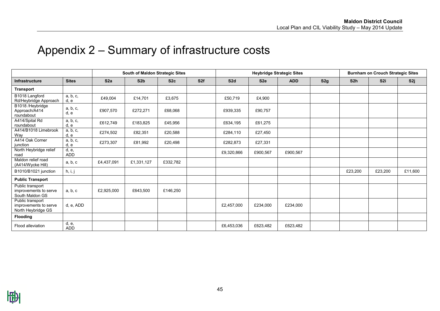### Appendix 2 – Summary of infrastructure costs

<span id="page-44-0"></span>

|                                                                 |                  |                 | South of Maldon Strategic Sites |                 |                 |                 |                 | <b>Heybridge Strategic Sites</b> |     |                 | <b>Burnham on Crouch Strategic Sites</b> |         |
|-----------------------------------------------------------------|------------------|-----------------|---------------------------------|-----------------|-----------------|-----------------|-----------------|----------------------------------|-----|-----------------|------------------------------------------|---------|
| <b>Infrastructure</b>                                           | <b>Sites</b>     | S <sub>2a</sub> | S <sub>2b</sub>                 | S <sub>2c</sub> | S <sub>2f</sub> | S <sub>2d</sub> | S <sub>2e</sub> | <b>ADD</b>                       | S2g | S <sub>2h</sub> | S <sub>2i</sub>                          | S2j     |
| <b>Transport</b>                                                |                  |                 |                                 |                 |                 |                 |                 |                                  |     |                 |                                          |         |
| B1018 Langford<br>Rd/Heybridge Approach                         | a, b, c,<br>d, e | £49,004         | £14,701                         | £3,675          |                 | £50,719         | £4,900          |                                  |     |                 |                                          |         |
| B1018 /Heybridge<br>Approach/A414<br>roundabout                 | a, b, c,<br>d, e | £907,570        | £272,271                        | £68,068         |                 | £939,335        | £90,757         |                                  |     |                 |                                          |         |
| A414/Spital Rd<br>roundabout                                    | a, b, c,<br>d, e | £612,749        | £183,825                        | £45,956         |                 | £634,195        | £61,275         |                                  |     |                 |                                          |         |
| A414/B1018 Limebrook<br>Way                                     | a, b, c,<br>d, e | £274,502        | £82,351                         | £20,588         |                 | £284,110        | £27,450         |                                  |     |                 |                                          |         |
| A414 Oak Corner<br>junction                                     | a, b, c,<br>d, e | £273,307        | £81,992                         | £20,498         |                 | £282,873        | £27,331         |                                  |     |                 |                                          |         |
| North Heybridge relief<br>road                                  | d, e,<br>ADD     |                 |                                 |                 |                 | £9,320,866      | £900,567        | £900,567                         |     |                 |                                          |         |
| Maldon relief road<br>(A414/Wycke Hill)                         | a, b, c          | £4,437,091      | £1,331,127                      | £332,782        |                 |                 |                 |                                  |     |                 |                                          |         |
| B1010/B1021 junction                                            | h, i, j          |                 |                                 |                 |                 |                 |                 |                                  |     | £23,200         | £23,200                                  | £11,600 |
| <b>Public Transport</b>                                         |                  |                 |                                 |                 |                 |                 |                 |                                  |     |                 |                                          |         |
| Public transport<br>improvements to serve<br>South Maldon GS    | a, b, c          | £2,925,000      | £643,500                        | £146,250        |                 |                 |                 |                                  |     |                 |                                          |         |
| Public transport<br>improvements to serve<br>North Heybridge GS | d, e, ADD        |                 |                                 |                 |                 | £2,457,000      | £234,000        | £234,000                         |     |                 |                                          |         |
| Flooding                                                        |                  |                 |                                 |                 |                 |                 |                 |                                  |     |                 |                                          |         |
| Flood alleviation                                               | d, e,<br>ADD     |                 |                                 |                 |                 | £6,453,036      | £623,482        | £623,482                         |     |                 |                                          |         |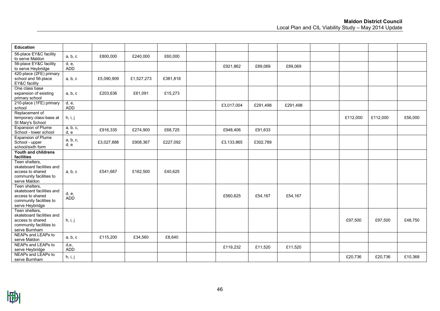| <b>Education</b>                                                                                              |                     |            |            |          |            |          |          |          |          |         |
|---------------------------------------------------------------------------------------------------------------|---------------------|------------|------------|----------|------------|----------|----------|----------|----------|---------|
| 56-place EY&C facility<br>to serve Maldon                                                                     | a, b, c             | £800,000   | £240,000   | £60,000  |            |          |          |          |          |         |
| 56-place EY&C facility<br>to serve Heybridge                                                                  | d, e,<br><b>ADD</b> |            |            |          | £921,862   | £89,069  | £89,069  |          |          |         |
| 420-place (2FE) primary<br>school and 56-place<br>EY&C facility                                               | a, b, c             | £5,090,909 | £1,527,273 | £381,818 |            |          |          |          |          |         |
| One class base<br>expansion of existing<br>primary school                                                     | a, b, c             | £203,636   | £61,091    | £15,273  |            |          |          |          |          |         |
| 210-place (1FE) primary<br>school                                                                             | d, e,<br><b>ADD</b> |            |            |          | £3,017,004 | £291,498 | £291,498 |          |          |         |
| Replacement of<br>temporary class-base at<br>St Mary's School                                                 | h, i, j             |            |            |          |            |          |          | £112,000 | £112,000 | £56,000 |
| <b>Expansion of Plume</b><br>School - lower school                                                            | a, b, c,<br>d, e    | £916,335   | £274,900   | £68,725  | £948,406   | £91,633  |          |          |          |         |
| <b>Expansion of Plume</b><br>School - upper<br>school/sixth form                                              | a, b, c,<br>d, e    | £3,027,888 | £908,367   | £227,092 | £3,133,865 | £302,789 |          |          |          |         |
| Youth and childrens<br>facilities                                                                             |                     |            |            |          |            |          |          |          |          |         |
| Teen shelters,<br>skateboard facilities and<br>access to shared<br>community facilities to<br>serve Maldon    | a, b, c             | £541,667   | £162,500   | £40,625  |            |          |          |          |          |         |
| Teen shelters,<br>skateboard facilities and<br>access to shared<br>community facilities to<br>serve Heybridge | d, e,<br><b>ADD</b> |            |            |          | £560,625   | £54,167  | £54,167  |          |          |         |
| Teen shelters,<br>skateboard facilities and<br>access to shared<br>community facilities to<br>serve Burnham   | h, i, j             |            |            |          |            |          |          | £97,500  | £97,500  | £48,750 |
| NEAPs and LEAPs to<br>serve Maldon                                                                            | a, b, c             | £115,200   | £34,560    | £8,640   |            |          |          |          |          |         |
| NEAPs and LEAPs to<br>serve Heybridge                                                                         | d,e,<br><b>ADD</b>  |            |            |          | £119,232   | £11,520  | £11,520  |          |          |         |
| NEAPs and LEAPs to<br>serve Burnham                                                                           | h, i, j             |            |            |          |            |          |          | £20,736  | £20,736  | £10,368 |

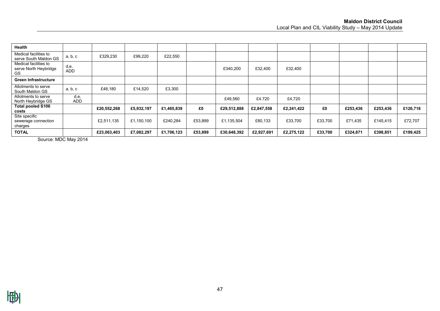| Health                                               |                    |             |            |            |         |             |            |            |         |          |          |          |
|------------------------------------------------------|--------------------|-------------|------------|------------|---------|-------------|------------|------------|---------|----------|----------|----------|
| Medical facilities to<br>serve South Maldon GS       | a, b, c            | £329,230    | £99,220    | £22,550    |         |             |            |            |         |          |          |          |
| Medical facilities to<br>serve North Heybridge<br>GS | d,e,<br><b>ADD</b> |             |            |            |         | £340,200    | £32,400    | £32,400    |         |          |          |          |
| <b>Green Infrastructure</b>                          |                    |             |            |            |         |             |            |            |         |          |          |          |
| Allotments to serve<br>South Maldon GS               | a, b, c            | £48,180     | £14,520    | £3,300     |         |             |            |            |         |          |          |          |
| Allotments to serve<br>North Heybridge GS            | d,e,<br>ADD        |             |            |            |         | £49,560     | £4.720     | £4,720     |         |          |          |          |
| <b>Total pooled S106</b><br>costs                    |                    | £20,552,268 | £5,932,197 | £1,465,839 | £0      | £29,512,888 | £2,847,558 | £2,241,422 | £0      | £253,436 | £253,436 | £126,718 |
| Site specific<br>sewerage connection<br>charges      |                    | £2,511,135  | £1,150,100 | £240,284   | £53,899 | £1,135,504  | £80,133    | £33,700    | £33,700 | £71,435  | £145,415 | £72,707  |
| <b>TOTAL</b>                                         |                    | £23,063,403 | £7,082,297 | £1,706,123 | £53,899 | £30,648,392 | £2,927,691 | £2,275,122 | £33,700 | £324,871 | £398,851 | £199,425 |

Source: MDC May 2014